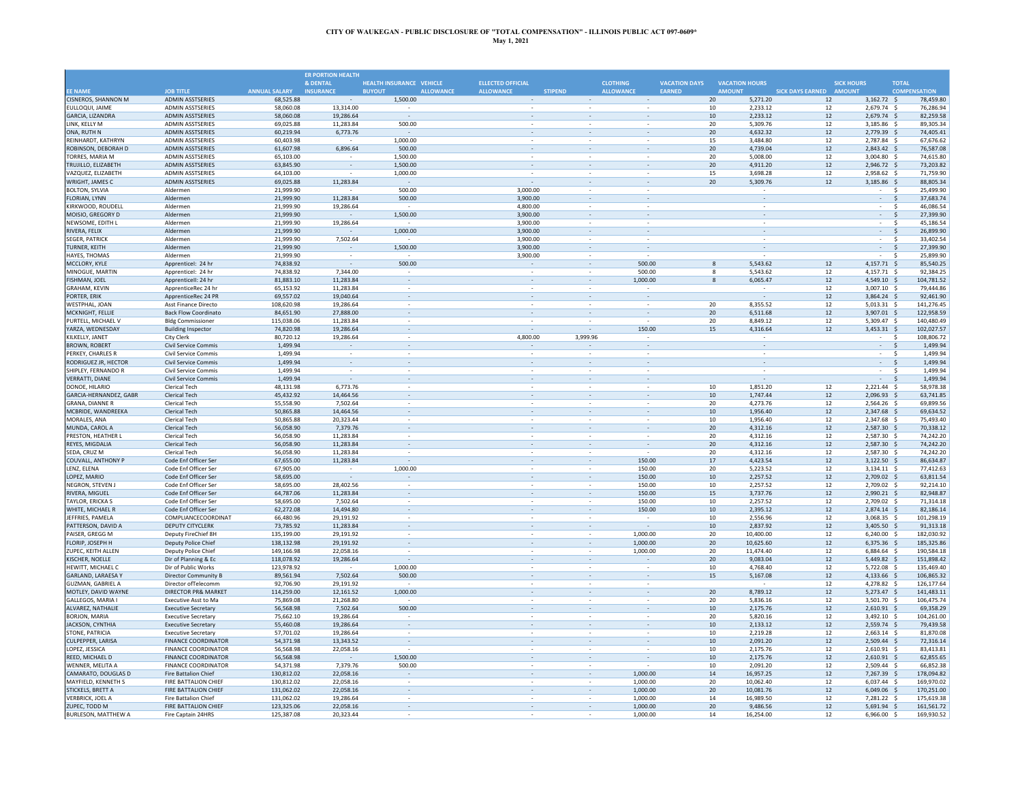|                                          |                                                    |                          | <b>ER PORTION HEALTH</b> |                                   |                          |                          |                          |                      |                                   |                         |                                    |                                  |  |
|------------------------------------------|----------------------------------------------------|--------------------------|--------------------------|-----------------------------------|--------------------------|--------------------------|--------------------------|----------------------|-----------------------------------|-------------------------|------------------------------------|----------------------------------|--|
|                                          |                                                    |                          | & DENTAL                 | HEALTH INSURANCE VEHICLE          | <b>ELLECTED OFFICIAL</b> |                          | <b>CLOTHING</b>          | <b>VACATION DAYS</b> | <b>VACATION HOURS</b>             |                         | <b>SICK HOURS</b>                  | <b>TOTAL</b>                     |  |
| <b>EE NAME</b>                           | <b>JOB TITLE</b>                                   | <b>ANNUAL SALARY</b>     | <b>INSURANCE</b>         | <b>BUYOUT</b><br><b>ALLOWANCE</b> | <b>ALLOWANCE</b>         | <b>STIPEND</b>           | <b>ALLOWANCE</b>         | <b>EARNED</b>        | <b>AMOUNT</b>                     | SICK DAYS EARNED AMOUNT |                                    | <b>COMPENSATION</b>              |  |
| CISNEROS, SHANNON M                      | <b>ADMIN ASSTSERIES</b>                            | 68,525.88                |                          | 1,500.00                          |                          |                          |                          |                      | 20<br>5,271.20                    | 12                      | $3,162.72$ \$                      | 78,459.80                        |  |
| EULLOQUI, JAIME                          | <b>ADMIN ASSTSERIES</b>                            | 58.060.08                | 13,314.00                |                                   |                          |                          |                          |                      | 10<br>2.233.12                    | 12                      | 2.679.74 \$                        | 76,286.94                        |  |
| <b>GARCIA, LIZANDRA</b><br>LINK, KELLY M | <b>ADMIN ASSTSERIES</b><br><b>ADMIN ASSTSERIES</b> | 58,060.08<br>69,025.88   | 19,286.64<br>11.283.84   | $\sim$<br>500.00                  |                          |                          |                          |                      | 10<br>2,233.12<br>20<br>5,309.76  | 12<br>12                | 2,679.74 \$<br>3,185.86 \$         | 82,259.58<br>89,305.34           |  |
| ONA, RUTH N                              | <b>ADMIN ASSTSERIES</b>                            | 60,219.94                | 6,773.76                 |                                   |                          |                          |                          |                      | 20<br>4,632.32                    | $12\,$                  | 2,779.39                           | $\ddot{\mathsf{s}}$<br>74,405.4  |  |
| REINHARDT, KATHRYN                       | <b>ADMIN ASSTSERIES</b>                            | 60,403.98                |                          | 1,000.00                          |                          |                          |                          |                      | 3,484.80<br>15                    | 12                      | 2,787.84 \$                        | 67,676.62                        |  |
| ROBINSON, DEBORAH D                      | <b>ADMIN ASSTSFRIES</b>                            | 61.607.98                | 6,896.64                 | 500.00                            |                          |                          |                          |                      | 20<br>4,739.04                    | 12                      | 2,843.42 \$                        | 76,587.08                        |  |
| TORRES, MARIA M                          | <b>ADMIN ASSTSERIES</b>                            | 65,103.00                |                          | 1,500.00                          | ×.                       | ä,                       | $\sim$                   |                      | 20<br>5,008.00                    | 12                      | 3,004.80 \$                        | 74,615.80                        |  |
| TRUJILLO, ELIZABETH                      | <b>ADMIN ASSTSERIES</b>                            | 63,845.90                |                          | 1,500.00                          |                          |                          |                          |                      | 20<br>4,911.20                    | $12\,$                  | 2,946.72 \$                        | 73,203.82                        |  |
| VAZQUEZ, ELIZABETH                       | ADMIN ASSTSERIES                                   | 64,103.00                |                          | 1,000.00                          | $\sim$                   | $\overline{\phantom{a}}$ | $\sim$                   |                      | 15<br>3,698.28                    | 12                      | 2,958.62 \$                        | 71,759.90                        |  |
| WRIGHT, JAMES C                          | <b>ADMIN ASSTSERIES</b>                            | 69,025.88                | 11.283.84                |                                   | $\sim$                   | $\overline{\phantom{a}}$ |                          |                      | 20<br>5,309.76                    | $12\,$                  | 3,185.86 \$                        | 88,805.34                        |  |
| <b>BOLTON, SYLVIA</b>                    | Aldermen                                           | 21.999.90                |                          | 500.00                            | 3,000.00                 | ٠                        |                          |                      |                                   |                         | ÷                                  | 25.499.90<br>- \$                |  |
| FLORIAN, LYNN                            | Aldermen                                           | 21,999.90                | 11,283.84                | 500.00                            | 3,900.00                 |                          |                          |                      |                                   |                         | ÷.                                 | $\ddot{\mathsf{s}}$<br>37,683.74 |  |
| KIRKWOOD, ROUDELL                        | Aldermer                                           | 21,999.90                | 19,286.64                |                                   | 4,800.00                 |                          |                          |                      |                                   |                         |                                    | 46,086.54<br>Ś.                  |  |
| MOISIO, GREGORY D                        | Aldermen                                           | 21,999.90                |                          | 1,500.00                          | 3,900.00                 |                          |                          |                      |                                   |                         | $\overline{\phantom{a}}$           | 27.399.90<br>\$                  |  |
| NEWSOME, EDITH I                         | Aldermer                                           | 21.999.90                | 19,286.64                |                                   | 3.900.00                 |                          |                          |                      |                                   |                         | $\sim$                             | 45.186.54<br>.S                  |  |
| RIVERA, FELIX                            | Aldermen                                           | 21,999.90                |                          | 1,000.00                          | 3,900.00                 | $\sim$                   |                          |                      |                                   |                         | $\sim$                             | 26,899.90<br>-S                  |  |
| <b>SEGER, PATRICK</b>                    | Aldermen                                           | 21,999.90                | 7,502.64                 |                                   | 3,900.00                 |                          |                          |                      |                                   |                         | $\bar{z}$                          | <sub>S</sub><br>33,402.54        |  |
| <b>TURNER, KEITH</b>                     | Aldermen                                           | 21,999.90                | $\overline{\phantom{a}}$ | 1,500.00                          | 3,900.00                 |                          | $\sim$                   |                      | $\overline{\phantom{a}}$          |                         | $-5$                               | 27,399.90                        |  |
| HAYES, THOMAS                            | Aldermer                                           | 21,999.90                | $\sim$                   |                                   | 3,900.00                 |                          |                          |                      |                                   |                         | $\sim$                             | -Ś<br>25.899.90                  |  |
| MCCLORY, KYLE                            | Apprenticel: 24 hr                                 | 74,838.92                | $\sim$                   | 500.00                            |                          |                          | 500.00                   |                      | 5.543.62<br>$\mathbf{g}$          | 12                      | 4,157.71 \$                        | 85,540.25                        |  |
| MINOGUE, MARTIN                          | Apprenticel: 24 hr                                 | 74,838.92                | 7,344.00                 |                                   |                          |                          | 500.00                   |                      | 5,543.62<br>8                     | 12                      | 4,157.71 \$                        | 92,384.25                        |  |
| <b>FISHMAN, JOEL</b>                     | Apprenticell: 24 hr                                | 81,883.10                | 11,283.84                |                                   |                          |                          | 1,000.00                 |                      | 6,065.47<br>8                     | $12\,$                  | 4,549.10 \$                        | 104,781.52                       |  |
| <b>GRAHAM, KEVIN</b>                     | ApprenticeRec 24 h                                 | 65,153.92                | 11,283.84                |                                   |                          |                          |                          |                      |                                   | 12                      | 3,007.10                           | 79,444.86<br>- S                 |  |
| PORTER, ERIK                             | ApprenticeRec 24 PR                                | 69,557.02                | 19,040.64                |                                   |                          |                          |                          |                      |                                   | 12                      | 3,864.24 \$                        | 92,461.90                        |  |
| <b>WESTPHAL, JOAN</b>                    | Asst Finance Directo                               | 108.620.98               | 19,286.64                |                                   |                          |                          |                          |                      | 20<br>8,355.52                    | 12                      | $5.013.31$ \$                      | 141,276.45                       |  |
| MCKNIGHT, FELLIE                         | <b>Back Flow Coordinato</b>                        | 84,651.90                | 27,888.00<br>11.283.84   | $\omega$<br>$\sim$                | $\sim$                   | $\sim$                   | $\sim$                   |                      | 20<br>6,511.68<br>20              | $12\,$                  | 3,907.01 \$                        | 122,958.59                       |  |
| PURTELL, MICHAEL V<br>YARZA, WEDNESDAY   | <b>Bldg Commissioner</b>                           | 115,038.06<br>74.820.98  | 19,286.64                |                                   | $\sim$<br>$\sim$         |                          | 150.00                   |                      | 8,849.12<br>15<br>4,316.64        | 12<br>12                | 5,309.47 \$<br>$3,453.31$ \$       | 140,480.49<br>102,027.57         |  |
| KILKELLY, JANET                          | <b>Building Inspector</b><br><b>City Clerk</b>     | 80,720.12                | 19,286.64                |                                   | 4,800.00                 | 3,999.96                 |                          |                      |                                   |                         |                                    | 108,806.72<br>- \$               |  |
| <b>BROWN, ROBERT</b>                     | <b>Civil Service Commis</b>                        | 1,499.94                 |                          |                                   |                          |                          |                          |                      |                                   |                         | $\sim$<br>$\overline{\phantom{a}}$ | \$<br>1,499.94                   |  |
| PERKEY, CHARLES R                        | <b>Civil Service Commis</b>                        | 1,499.94                 |                          |                                   |                          |                          |                          |                      |                                   |                         |                                    | 1,499.94<br>\$                   |  |
| RODRIGUEZ JR, HECTOR                     | <b>Civil Service Commis</b>                        | 1,499.94                 |                          |                                   |                          |                          |                          |                      |                                   |                         | $\sim$                             | \$<br>1,499.94                   |  |
| SHIPLEY, FERNANDO R                      | Civil Service Commis                               | 1.499.94                 |                          |                                   |                          |                          |                          |                      |                                   |                         | ÷                                  | 1,499.94<br>-Ś                   |  |
| <b>VERRATTI, DIANE</b>                   | <b>Civil Service Commis</b>                        | 1,499.94                 |                          | $\omega$                          |                          |                          |                          |                      |                                   |                         | $\sim$                             | 1,499.94<br>S.                   |  |
| DONOE, HILARIO                           | <b>Clerical Tech</b>                               | 48.131.98                | 6,773.76                 | $\omega$                          | ×.                       |                          |                          |                      | 10<br>1,851.20                    | 12                      | 2,221.44 \$                        | 58.978.38                        |  |
| GARCIA-HERNANDEZ, GABR                   | Clerical Tech                                      | 45,432.92                | 14,464.56                | $\overline{\phantom{a}}$          | $\overline{\phantom{a}}$ |                          |                          |                      | 10<br>1,747.44                    | 12                      | 2,096.93 \$                        | 63,741.85                        |  |
| <b>GRANA, DIANNE R</b>                   | <b>Clerical Tech</b>                               | 55.558.90                | 7.502.64                 | $\sim$                            | $\sim$                   |                          |                          |                      | 4.273.76<br>20                    | 12                      | 2.564.26 \$                        | 69,899.56                        |  |
| MCBRIDE, WANDREEKA                       | <b>Clerical Tech</b>                               | 50,865.88                | 14,464.56                | $\overline{\phantom{a}}$          | $\overline{\phantom{a}}$ |                          |                          |                      | 10<br>1.956.40                    | 12                      | 2,347.68                           | 69,634.52<br>- S                 |  |
| MORALES, ANA                             | Clerical Tech                                      | 50,865.88                | 20,323.44                |                                   |                          |                          |                          |                      | $10\,$<br>1,956.40                | $12\,$                  | 2,347.68 \$                        | 75,493.40                        |  |
| MUNDA, CAROL A                           | <b>Clerical Tech</b>                               | 56,058.90                | 7,379.76                 |                                   |                          |                          |                          |                      | 20<br>4,312.16                    | 12                      | 2,587.30                           | 70,338.12                        |  |
| PRESTON, HEATHER L                       | Clerical Tech                                      | 56,058.90                | 11.283.84                |                                   |                          |                          |                          |                      | 20<br>4,312.16                    | 12                      | 2,587.30                           | 74,242.20<br>- 5                 |  |
| REYES, MIGDALIA                          | <b>Clerical Tech</b>                               | 56,058.90                | 11.283.84                |                                   |                          |                          | $\sim$                   |                      | 20<br>4,312.16                    | 12                      | 2,587.30 \$                        | 74,242.20                        |  |
| SEDA, CRUZ M                             | <b>Clerical Tech</b>                               | 56,058.90                | 11.283.84                |                                   |                          |                          |                          |                      | 20<br>4,312.16                    | 12                      | 2,587.30 \$                        | 74,242.20                        |  |
| COUVALL, ANTHONY P                       | Code Enf Officer Ser                               | 67,655.00                | 11,283.84                |                                   | $\overline{\phantom{a}}$ |                          | 150.00                   |                      | 17<br>4,423.54                    | 12                      | $3,122.50$ \$                      | 86,634.87                        |  |
| LENZ, ELENA                              | Code Enf Officer Ser                               | 67,905.00                | $\overline{\phantom{a}}$ | 1,000.00                          | $\overline{\phantom{a}}$ | $\overline{\phantom{a}}$ | 150.00                   |                      | 20<br>5,223.52                    | $12\,$                  | 3,134.11 \$                        | 77,412.63                        |  |
| LOPEZ, MARIO                             | Code Enf Officer Ser                               | 58,695.00                | $\sim$                   |                                   | $\overline{\phantom{a}}$ | $\overline{\phantom{a}}$ | 150.00                   |                      | 10<br>2,257.52                    | $12\,$                  | 2.709.02 \$                        | 63,811.54                        |  |
| NEGRON, STEVEN J                         | Code Enf Officer Ser                               | 58.695.00                | 28.402.56                |                                   |                          |                          | 150.00                   |                      | 10<br>2,257.52                    | 12                      | 2,709.02                           | 92.214.10<br>- S                 |  |
| RIVERA, MIGUEL                           | Code Enf Officer Ser                               | 64,787.06                | 11,283.84                |                                   |                          |                          | 150.00                   |                      | 15<br>3,737.76                    | 12                      | 2,990.21 \$                        | 82,948.87                        |  |
| <b>TAYLOR, ERICKA S</b>                  | Code Enf Officer Ser                               | 58.695.00                | 7.502.64                 |                                   |                          |                          | 150.00                   |                      | 10<br>2.257.52                    | 12                      | 2,709.02                           | 71,314.18<br>- S                 |  |
| WHITE, MICHAEL R                         | Code Enf Officer Ser                               | 62,272.08                | 14,494.80                |                                   |                          |                          | 150.00                   |                      | 10<br>2,395.12                    | 12                      | 2,874.14                           | 82,186.14<br>- S                 |  |
| JEFFRIES, PAMELA<br>PATTERSON, DAVID A   | COMPLIANCECOORDINAT<br>DEPUTY CITYCLERK            | 66,480.96<br>73,785.92   | 29,191.92<br>11,283.84   | $\omega$                          |                          |                          |                          |                      | 10<br>2.556.96<br>10<br>2,837.92  | 12<br>12                | 3,068.35<br>$3,405.50$ \$          | 101,298.19<br>- \$<br>91,313.18  |  |
| PAISER, GREGG M                          | Deputy FireChief 8H                                | 135.199.00               | 29.191.92                | $\sim$                            | ×.                       |                          | 1,000.00                 |                      | 20<br>10.400.00                   | 12                      | $6.240.00$ \$                      | 182,030.92                       |  |
| FLORIP, JOSEPH H                         | Deputy Police Chief                                | 138,132.98               | 29,191.92                | $\overline{\phantom{a}}$          | $\overline{\phantom{a}}$ | $\overline{\phantom{a}}$ | 1,000.00                 |                      | 20<br>10,625.60                   | 12                      | $6,375.36$ \$                      | 185,325.86                       |  |
| ZUPEC, KEITH ALLEN                       | Deputy Police Chief                                | 149.166.98               | 22.058.16                | $\overline{\phantom{a}}$          |                          |                          | 1,000.00                 |                      | 20<br>11.474.40                   | 12                      | 6.884.64 \$                        | 190.584.18                       |  |
| KISCHER, NOELLE                          | Dir of Planning & Ec                               | 118,078.92               | 19,286.64                | $\sim$                            | $\overline{\phantom{a}}$ |                          |                          |                      | 20<br>9.083.04                    | 12                      | 5,449.82 \$                        | 151,898.42                       |  |
| HEWITT, MICHAEL C                        | Dir of Public Works                                | 123,978.92               |                          | 1,000.00                          |                          |                          |                          |                      | 10<br>4,768.40                    | 12                      | 5,722.08 \$                        | 135,469.40                       |  |
| GARLAND, LARAESA Y                       | Director Community B                               | 89,561.94                | 7,502.64                 | 500.00                            |                          |                          |                          |                      | 15<br>5,167.08                    | $12\,$                  | 4,133.66 \$                        | 106,865.32                       |  |
| <b>GUZMAN, GABRIEL A</b>                 | Director ofTelecomm                                | 92,706.90                | 29.191.92                |                                   |                          |                          |                          |                      |                                   | 12                      | 4,278.82                           | 126,177.64<br>- 5                |  |
| MOTLEY, DAVID WAYNE                      | DIRECTOR PR& MARKET                                | 114,259.00               | 12.161.52                | 1,000.00                          |                          |                          |                          |                      | 8,789.12<br>20                    | 12                      | $5,273.47$ \$                      | 141,483.11                       |  |
| GALLEGOS, MARIA I                        | Executive Asst to Ma                               | 75,869.08                | 21,268.80                |                                   | ×.                       | ä,                       |                          |                      | 20<br>5,836.16                    | 12                      | 3,501.70 \$                        | 106,475.74                       |  |
| ALVAREZ, NATHALIE                        | <b>Executive Secretary</b>                         | 56,568.98                | 7,502.64                 | 500.00                            |                          |                          |                          |                      | 10<br>2,175.76                    | 12                      | 2,610.91 \$                        | 69,358.29                        |  |
| <b>BORJON, MARIA</b>                     | <b>Executive Secretary</b>                         | 75,662.10                | 19,286.64                |                                   | $\sim$                   | $\overline{\phantom{a}}$ | $\overline{\phantom{a}}$ |                      | 20<br>5,820.16                    | 12                      | 3,492.10 \$                        | 104,261.00                       |  |
| JACKSON, CYNTHIA                         | <b>Executive Secretary</b>                         | 55,460.08                | 19,286.64                | $\overline{\phantom{a}}$          | $\sim$                   |                          |                          |                      | 10<br>2,133.12                    | 12                      | 2,559.74 \$                        | 79,439.58                        |  |
| <b>STONE, PATRICIA</b>                   | <b>Executive Secretary</b>                         | 57.701.02                | 19,286.64                |                                   |                          |                          |                          |                      | 10<br>2.219.28                    | 12                      | $2.663.14$ \$                      | 81.870.08                        |  |
| CULPEPPER, LARISA                        | <b>FINANCE COORDINATOR</b>                         | 54,371.98                | 13,343.52                |                                   | $\sim$                   |                          |                          |                      | 10<br>2,091.20                    | $12\,$                  | 2,509.44 \$                        | 72,316.14                        |  |
| LOPEZ, JESSICA                           | <b>FINANCE COORDINATOR</b>                         | 56,568.98                | 22,058.16                |                                   |                          |                          |                          |                      | 10<br>2,175.76                    | 12                      | $2.610.91$ \$                      | 83,413.83                        |  |
| REED. MICHAEL D                          | <b>FINANCE COORDINATOR</b>                         | 56.568.98                |                          | 1.500.00                          |                          |                          |                          |                      | 10<br>2,175.76                    | 12                      | 2,610.91                           | $\mathsf{s}$<br>62,855.65        |  |
| <b>WENNER, MELITA A</b>                  | <b>FINANCE COORDINATOR</b>                         | 54.371.98                | 7.379.76                 | 500.00                            |                          |                          |                          |                      | 10<br>2.091.20                    | 12                      | 2.509.44                           | 66,852.38<br>- 5                 |  |
| CAMARATO, DOUGLAS D                      | <b>Fire Battalion Chief</b>                        | 130,812.02               | 22,058.16                |                                   |                          |                          | 1,000.00                 |                      | 16,957.25<br>14                   | 12                      | 7,267.39 \$                        | 178,094.82                       |  |
| MAYFIELD, KENNETH S                      | <b>FIRE BATTALION CHIEF</b>                        | 130,812.02               | 22,058.16                |                                   |                          |                          | 1,000.00                 |                      | 20<br>10,062.40                   | 12                      | 6,037.44 \$                        | 169,970.02                       |  |
| STICKELS, BRETT A                        | FIRE BATTALION CHIEF                               | 131,062.02               | 22,058.16                | $\overline{\phantom{a}}$          | $\overline{\phantom{a}}$ | $\overline{\phantom{a}}$ | 1,000.00                 |                      | 20<br>10,081.76                   | 12                      | 6,049.06 \$                        | 170,251.00                       |  |
| <b>VERBRICK, JOEL A</b><br>ZUPEC, TODD M | <b>Fire Battalion Chief</b>                        | 131.062.02<br>123,325.06 | 19,286.64<br>22,058.16   | $\bar{a}$                         | $\sim$                   |                          | 1.000.00<br>1,000.00     |                      | 14<br>16.989.50<br>20<br>9.486.56 | 12<br>12                | 7.281.22 S<br>5,691.94             | 175,619.38<br>161,561.72<br>- 5  |  |
| <b>BURLESON, MATTHEW A</b>               | FIRE BATTALION CHIEF<br><b>Fire Captain 24HRS</b>  | 125,387.08               | 20,323.44                |                                   |                          |                          | 1,000.00                 |                      | 16,254.00<br>14                   | 12                      | 6,966.00                           | 169,930.52<br>- Ś                |  |
|                                          |                                                    |                          |                          |                                   |                          |                          |                          |                      |                                   |                         |                                    |                                  |  |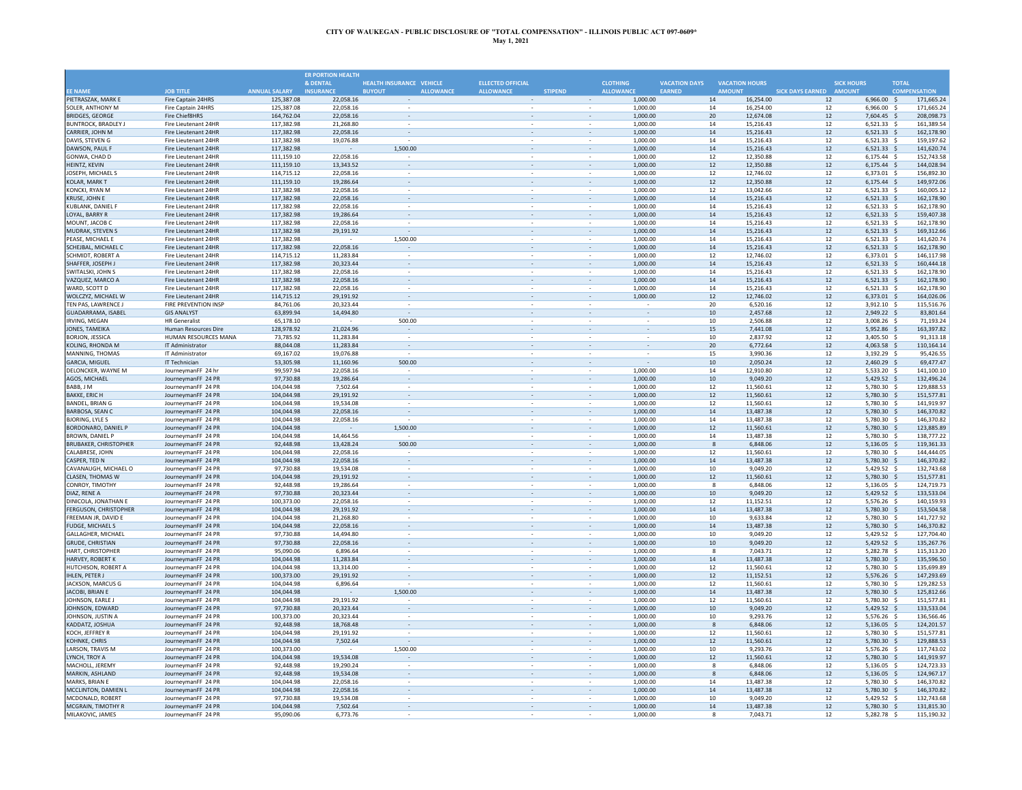|                                                 |                                              |                          | <b>ER PORTION HEALTH</b> |                                   |                          |                |                                    |                          |                      |                       |                        |                         |                                |                      |                        |
|-------------------------------------------------|----------------------------------------------|--------------------------|--------------------------|-----------------------------------|--------------------------|----------------|------------------------------------|--------------------------|----------------------|-----------------------|------------------------|-------------------------|--------------------------------|----------------------|------------------------|
|                                                 |                                              |                          | & DENTAL                 | HEALTH INSURANCE VEHICLE          | <b>ELLECTED OFFICIAL</b> |                |                                    | <b>CLOTHING</b>          | <b>VACATION DAYS</b> | <b>VACATION HOURS</b> |                        |                         | <b>SICK HOURS</b>              | <b>TOTAL</b>         |                        |
| <b>FF NAME</b>                                  | <b>JOB TITLE</b>                             | <b>ANNUAL SALARY</b>     | <b>INSURANCE</b>         | <b>ALLOWANCE</b><br><b>BUYOUT</b> | <b>ALLOWANCE</b>         | <b>STIPEND</b> |                                    | <b>ALLOWANCE</b>         | EARNED               | <b>AMOUNT</b>         |                        | SICK DAYS EARNED AMOUNT |                                |                      | <b>COMPENSATION</b>    |
| PIETRASZAK, MARK E                              | Fire Captain 24HRS                           | 125,387.08               | 22,058.16                |                                   |                          |                | $\sim$                             | 1,000.00                 |                      | 14                    | 16,254.00              | 12                      | 6,966.00 \$                    |                      | 171,665.24             |
| SOLER, ANTHONY M                                | Fire Captain 24HRS                           | 125,387.08               | 22,058.16                |                                   |                          |                |                                    | 1,000.00                 |                      | 14                    | 16.254.00              | 12                      | 6,966.00 \$                    |                      | 171,665.24             |
| <b>BRIDGES, GEORGE</b>                          | <b>Fire Chief8HRS</b>                        | 164,762.04               | 22.058.16                |                                   |                          |                |                                    | 1,000.00                 |                      | 20                    | 12.674.08              | 12                      | 7,604.45 \$                    |                      | 208.098.73             |
| <b>BUNTROCK, BRADLEY J</b>                      | Fire Lieutenant 24HR                         | 117,382.98               | 21,268.80                |                                   |                          |                |                                    | 1,000.00                 |                      | 14                    | 15.216.43              | 12                      | $6,521.33$ \$                  |                      | 161,389.54             |
| CARRIER, JOHN M                                 | Fire Lieutenant 24HR                         | 117,382.98               | 22,058.16                |                                   |                          |                |                                    | 1,000.00                 |                      | 14                    | 15,216.43              | 12                      | $6,521.33$ \$                  |                      | 162,178.9              |
| DAVIS, STEVEN G                                 | Fire Lieutenant 24HR                         | 117,382.98               | 19,076.88                | 1,500.00                          |                          |                |                                    | 1,000.00                 |                      | 14                    | 15,216.43              | 12                      | $6,521.33$ \$                  |                      | 159,197.62             |
| DAWSON, PAUL F<br>GONWA, CHAD D                 | Fire Lieutenant 24HR<br>Fire Lieutenant 24HR | 117,382.98               |                          |                                   | $\sim$                   |                | $\sim$                             | 1,000.00                 |                      | 14                    | 15,216.43              | $12\,$                  | $6,521.33$ \$                  |                      | 141,620.7<br>152.743.5 |
| HEINTZ, KEVIN                                   | Fire Lieutenant 24HR                         | 111,159.10<br>111,159.10 | 22,058.16<br>13,343.52   |                                   |                          |                |                                    | 1,000.00<br>1,000.00     |                      | 12<br>12              | 12,350.88<br>12,350.88 | $12\,$<br>12            | $6,175.44$ \$<br>$6,175.44$ \$ |                      | 144,028.94             |
| JOSEPH, MICHAEL S                               | Fire Lieutenant 24HR                         |                          | 22.058.16                | $\omega$                          | $\hat{\phantom{a}}$      |                | $\bar{z}$                          |                          |                      | 12                    |                        |                         |                                |                      | 156.892.30             |
| KOLAR, MARK T                                   | Fire Lieutenant 24HR                         | 114,715.12<br>111,159.10 | 19,286.64                | $\overline{\phantom{a}}$          | $\overline{\phantom{a}}$ |                | $\sim$                             | 1,000.00<br>1,000.00     |                      | 12                    | 12,746.02<br>12,350.88 | 12<br>12                | 6,373.01 \$<br>$6,175.44$ \$   |                      | 149,972.06             |
| KONCKI, RYAN M                                  | Fire Lieutenant 24HR                         | 117.382.98               | 22.058.16                | $\overline{\phantom{a}}$          | $\overline{\phantom{a}}$ |                | $\overline{\phantom{a}}$           | 1.000.00                 |                      | 12                    | 13,042.66              | 12                      | $6.521.33$ \$                  |                      | 160.005.12             |
| KRUSE. JOHN E                                   | Fire Lieutenant 24HR                         | 117,382.98               | 22.058.16                |                                   |                          |                |                                    | 1,000.00                 |                      | 14                    | 15,216,43              | 12                      | $6,521.33$ \$                  |                      | 162,178.90             |
| KUBLANK, DANIEL F                               | Fire Lieutenant 24HR                         | 117,382.98               | 22,058.16                |                                   |                          |                |                                    | 1,000.00                 |                      | 14                    | 15,216.43              | $12\,$                  | 6,521.33 \$                    |                      | 162,178.90             |
| LOYAL, BARRY R                                  | Fire Lieutenant 24HR                         | 117,382.98               | 19,286.64                |                                   |                          |                |                                    | 1,000.00                 |                      | 14                    | 15,216.43              | 12                      | 6,521.33                       | \$                   | 159,407.3              |
| MOUNT, JACOB C                                  | Fire Lieutenant 24HR                         | 117,382.98               | 22,058.16                |                                   |                          |                |                                    | 1.000.00                 |                      | 14                    | 15,216.43              | 12                      | 6.521.33                       | $\ddot{\phantom{1}}$ | 162.178.9              |
| <b>MUDRAK, STEVEN S</b>                         | Fire Lieutenant 24HR                         | 117,382.98               | 29,191.92                |                                   |                          |                |                                    | 1,000.00                 |                      | 14                    | 15,216,43              | 12                      | 6,521.33                       | -S                   | 169,312.66             |
| PEASE, MICHAEL E                                | Fire Lieutenant 24HR                         | 117,382.98               |                          | 1,500.00                          |                          |                |                                    | 1,000.00                 |                      | 14                    | 15,216.43              | 12                      | $6,521.33$ \$                  |                      | 141,620.74             |
| SCHEJBAL, MICHAEL O                             | Fire Lieutenant 24HR                         | 117,382.98               | 22,058.16                |                                   |                          |                | $\overline{\phantom{a}}$           | 1,000.00                 |                      | 14                    | 15,216.43              | 12                      | $6,521.33$ \$                  |                      | 162,178.9              |
| <b>SCHMIDT, ROBERT A</b>                        | Fire Lieutenant 24HR                         | 114,715.12               | 11,283.84                | $\overline{\phantom{a}}$          |                          |                |                                    | 1,000.00                 |                      | 12                    | 12,746.02              | 12                      | 6,373.01 \$                    |                      | 146,117.9              |
| SHAFFER, JOSEPH J                               | Fire Lieutenant 24HR                         | 117,382.98               | 20,323.44                | $\overline{\phantom{a}}$          |                          |                | $\overline{\phantom{a}}$           | 1,000.00                 |                      | 14                    | 15,216.43              | 12                      | $6,521.33$ \$                  |                      | 160,444.18             |
| <b>SWITALSKI, JOHN S</b>                        | Fire Lieutenant 24HR                         | 117.382.98               | 22,058.16                |                                   |                          |                |                                    | 1,000.00                 |                      | 14                    | 15.216.43              | $12\,$                  | $6,521.33$ \$                  |                      | 162.178.90             |
| VAZQUEZ, MARCO A                                | Fire Lieutenant 24HR                         | 117,382.98               | 22,058.16                |                                   |                          |                |                                    | 1,000.00                 |                      | 14                    | 15,216.43              | 12                      | $6,521.33$ \$                  |                      | 162,178.90             |
| WARD, SCOTT D                                   | Fire Lieutenant 24HR                         | 117,382.98               | 22,058.16                |                                   |                          |                |                                    | 1,000.00                 |                      | 14                    | 15,216.43              | 12                      | 6,521.33                       |                      | 162,178.9              |
| WOLCZYZ, MICHAEL W                              | Fire Lieutenant 24HR                         | 114,715.12               | 29,191.92                |                                   |                          |                |                                    | 1,000.00                 |                      | 12                    | 12,746.02              | 12                      | 6,373.01                       | - \$                 | 164,026.06             |
| TEN PAS. LAWRENCE.                              | <b>FIRE PREVENTION INSP</b>                  | 84,761.06                | 20.323.44                | $\sim$                            |                          |                | $\sim$                             |                          |                      | 20                    | 6,520.16               | $12\,$                  | 3,912.10 \$                    |                      | 115,516.76             |
| GUADARRAMA, ISABEL                              | <b>GIS ANALYST</b>                           | 63,899.94                | 14,494.80                |                                   |                          |                |                                    |                          |                      | $10\,$                | 2,457.68               | 12                      | 2,949.22 \$                    |                      | 83,801.64              |
| IRVING, MEGAN                                   | <b>HR Generalist</b>                         | 65,178.10                |                          | 500.00                            | $\sim$                   |                | $\sim$                             | $\overline{\phantom{a}}$ |                      | 10                    | 2,506.88               | $12\,$                  | 3,008.26 \$                    |                      | 71,193.24              |
| JONES, TAMEIKA                                  | Human Resources Dire                         | 128,978.92               | 21,024.96                | $\overline{\phantom{a}}$          | $\overline{\phantom{a}}$ |                | $\overline{\phantom{a}}$           | $\overline{\phantom{a}}$ |                      | 15                    | 7,441.08               | $12\,$                  | 5,952.86 \$                    |                      | 163,397.82             |
| BORION, JESSICA                                 | HUMAN RESOURCES MANA                         | 73,785.92                | 11.283.84                | $\overline{\phantom{a}}$          | $\overline{\phantom{a}}$ |                | $\sim$                             | $\overline{\phantom{a}}$ |                      | 10 <sup>1</sup>       | 2.837.92               | $12\,$                  | 3.405.50 \$                    |                      | 91.313.18              |
| KOLING, RHONDA M                                | IT Administrator                             | 88,044.08                | 11,283.84                |                                   |                          |                |                                    |                          |                      | 20                    | 6,772.64               | 12                      | 4,063.58 \$                    |                      | 110,164.14             |
| MANNING, THOMAS                                 | IT Administrator                             | 69,167.02                | 19.076.88                |                                   |                          |                |                                    |                          |                      | 15                    | 3.990.36               | 12                      | 3.192.29 \$                    |                      | 95.426.5               |
| <b>GARCIA, MIGUEL</b>                           | <b>IT Technician</b>                         | 53,305.98                | 11,160.96                | 500.00                            |                          |                |                                    |                          |                      | 10                    | 2,050.24               | 12                      | 2,460.29                       | - Ś                  | 69,477.4               |
| DELONCKER, WAYNE M                              | JourneymanFF 24 hr                           | 99.597.94                | 22,058.16                |                                   |                          |                |                                    | 1.000.00                 |                      | 14                    | 12.910.80              | 12                      | 5.533.20 \$                    |                      | 141.100.1              |
| AGOS, MICHAEL                                   | JourneymanFF 24 PR                           | 97,730.88                | 19,286.64                | $\bar{z}$                         |                          |                |                                    | 1,000.00                 |                      | 10                    | 9,049.20               | 12                      | 5.429.52 \$                    |                      | 132.496.2              |
| BABB, J M                                       | JourneymanFF 24 PR                           | 104,044.98               | 7,502.64                 |                                   |                          |                |                                    | 1,000.00                 |                      | 12                    | 11,560.61              | $12\,$                  | 5,780.30 \$                    |                      | 129,888.53             |
| <b>BAKKE, ERIC H</b>                            | JourneymanFF 24 PR                           | 104,044.98               | 29,191.92                | $\omega$                          |                          |                | $\sim$                             | 1,000.00                 |                      | 12                    | 11,560.61              | $12\,$                  | 5,780.30 \$                    |                      | 151,577.8              |
| <b>BANDEL, BRIAN G</b>                          | JourneymanFF 24 PR                           | 104,044.98               | 19.534.08                | $\sim$                            |                          |                |                                    | 1,000.00                 |                      | 12                    | 11,560.61              | 12                      | 5,780.30 \$                    |                      | 141,919.97             |
| <b>BARBOSA, SEAN C</b>                          | JourneymanFF 24 PR                           | 104.044.98               | 22.058.16                | $\sim$                            | $\sim$                   |                | $\overline{\phantom{a}}$           | 1,000.00                 |                      | 14                    | 13,487.38              | 12                      | 5,780.30 \$                    |                      | 146.370.8              |
| <b>BJORING, LYLE S</b>                          | JourneymanFF 24 PR                           | 104,044.98               | 22,058.16                |                                   |                          |                |                                    | 1,000.00                 |                      | 14                    | 13,487.38              | 12                      | 5,780.30 \$                    |                      | 146,370.82             |
| BORDONARO, DANIEL P                             | JourneymanFF 24 PR                           | 104,044.98               |                          | 1,500.00                          |                          |                |                                    | 1,000.00                 |                      | 12                    | 11,560.61              | 12                      | 5,780.30 \$                    |                      | 123.885.8              |
| BROWN, DANIEL P                                 | JourneymanFF 24 PR                           | 104,044.98               | 14,464.56                |                                   |                          |                |                                    | 1,000.00                 |                      | 14                    | 13,487.38              | 12                      | 5,780.30                       |                      | 138,777.22             |
| <b>BRUBAKER, CHRISTOPHER</b><br>CALABRESE, JOHN | JourneymanFF 24 PR                           | 92,448.98<br>104.044.98  | 13,428.24<br>22.058.16   | 500.00                            |                          |                |                                    | 1,000.00                 |                      | 8                     | 6,848.06               | $12\,$                  | 5,136.05 \$                    |                      | 119,361.3              |
|                                                 | JourneymanFF 24 PR                           |                          |                          | $\bar{z}$                         |                          |                | $\sim$                             | 1,000.00                 |                      | 12                    | 11,560.61              | $12\,$                  | 5,780.30                       | - 5                  | 144,444.0              |
| CASPER, TED N                                   | JourneymanFF 24 PR                           | 104,044.98               | 22,058.16                |                                   |                          |                | $\sim$                             | 1,000.00                 |                      | $14\,$                | 13,487.38              | $12\,$                  | 5,780.30 \$                    |                      | 146,370.82             |
| CAVANAUGH, MICHAEL O                            | JourneymanFF 24 PR                           | 97.730.88                | 19.534.08                | $\omega$                          | $\hat{\phantom{a}}$      |                | $\bar{z}$                          | 1,000.00                 |                      | 10                    | 9,049.20               | 12                      | 5.429.52 \$                    |                      | 132,743.6              |
| CLASEN, THOMAS W<br>CONROY, TIMOTHY             | JourneymanFF 24 PR                           | 104,044.98<br>92.448.98  | 29,191.92<br>19,286.64   |                                   |                          |                | $\overline{\phantom{a}}$<br>$\sim$ | 1,000.00                 |                      | 12<br>8               | 11,560.61<br>6,848.06  | 12                      | 5,780.30 \$                    |                      | 151,577.8<br>124.719.7 |
| DIAZ. RENE A                                    | JourneymanFF 24 PR<br>JourneymanFF 24 PR     | 97,730.88                | 20.323.44                |                                   |                          |                |                                    | 1,000.00<br>1,000.00     |                      | 10 <sup>10</sup>      | 9,049.20               | 12<br>$12$              | 5,136.05 \$<br>5,429.52 \$     |                      | 133,533.04             |
| DINICOLA, JONATHAN E                            | JourneymanFF 24 PR                           | 100,373.00               | 22,058.16                |                                   |                          |                |                                    | 1,000.00                 |                      | 12                    | 11,152.51              | 12                      | 5,576.26 \$                    |                      | 140.159.9              |
| <b>FERGUSON, CHRISTOPHER</b>                    | JourneymanFF 24 PR                           | 104,044.98               | 29,191.92                |                                   |                          |                |                                    | 1,000.00                 |                      | $14\,$                | 13,487.38              | $12\,$                  | 5,780.30                       |                      | 153,504.58             |
| <b>FREEMAN IR. DAVID F</b>                      | JourneymanFF 24 PR                           | 104,044.98               | 21.268.80                |                                   |                          |                |                                    | 1.000.00                 |                      | 10                    | 9.633.84               | $12\,$                  | 5.780.30                       | $\ddot{\phantom{1}}$ | 141,727.92             |
| FUDGE, MICHAEL S                                | JourneymanFF 24 PR                           | 104,044.98               | 22,058.16                | $\bar{z}$                         |                          |                | $\sim$                             | 1,000.00                 |                      | 14                    | 13,487.38              | 12                      | 5,780.30 \$                    |                      | 146,370.82             |
| <b>GALLAGHER, MICHAEL</b>                       | JourneymanFF 24 PR                           | 97,730.88                | 14,494.80                | à.                                |                          |                | $\sim$                             | 1,000.00                 |                      | 10                    | 9.049.20               | 12                      | 5,429.52 \$                    |                      | 127,704.40             |
| GRUDE, CHRISTIAN                                | JourneymanFF 24 PR                           | 97,730.88                | 22,058.16                | $\overline{\phantom{a}}$          | $\overline{\phantom{a}}$ |                | $\overline{\phantom{a}}$           | 1,000.00                 |                      | 10 <sup>10</sup>      | 9,049.20               | 12                      | $5,429.52$ \$                  |                      | 135,267.7              |
| HART, CHRISTOPHER                               | JourneymanFF 24 PR                           | 95,090,06                | 6.896.64                 | $\overline{\phantom{a}}$          |                          |                | $\sim$                             | 1,000.00                 |                      | 8                     | 7.043.71               | 12                      | 5,282.78 \$                    |                      | 115.313.2              |
| <b>HARVEY, ROBERT K</b>                         | JourneymanFF 24 PR                           | 104.044.98               | 11,283.84                |                                   |                          |                |                                    | 1,000.00                 |                      | 14                    | 13,487.38              | 12                      | $5,780.30$ \$                  |                      | 135.596.50             |
| HUTCHISON, ROBERT A                             | JourneymanFF 24 PR                           | 104,044.98               | 13,314.00                |                                   |                          |                |                                    | 1,000.00                 |                      | 12                    | 11,560.61              | $12\,$                  | 5,780.30 \$                    |                      | 135,699.8              |
| <b>HLEN, PETER J</b>                            | JourneymanFF 24 PR                           | 100,373.00               | 29,191.92                |                                   |                          |                |                                    | 1,000.00                 |                      | 12                    | 11,152.51              | $12\,$                  | 5,576.26 \$                    |                      | 147,293.6              |
| JACKSON, MARCUS G                               | JourneymanFF 24 PR                           | 104,044.98               | 6,896.64                 |                                   |                          |                |                                    | 1,000.00                 |                      | 12                    | 11,560.61              | 12                      | 5,780.30 \$                    |                      | 129,282.53             |
| <b>JACOBI, BRIAN E</b>                          | JourneymanFF 24 PR                           | 104,044.98               |                          | 1,500.00                          |                          |                |                                    | 1,000.00                 |                      | 14                    | 13,487.38              | $12\,$                  | 5,780.30 \$                    |                      | 125,812.66             |
| JOHNSON, EARLE J                                | JourneymanFF 24 PR                           | 104,044.98               | 29,191.92                |                                   |                          |                | $\sim$                             | 1,000.00                 |                      | 12                    | 11.560.61              | 12                      | 5,780.30 \$                    |                      | 151,577.8              |
| JOHNSON, EDWARD                                 | JourneymanFF 24 PR                           | 97,730.88                | 20,323.44                |                                   |                          |                |                                    | 1,000.00                 |                      | 10                    | 9,049.20               | 12                      | 5,429.52 \$                    |                      | 133,533.04             |
| JOHNSON, JUSTIN A                               | JourneymanFF 24 PR                           | 100,373.00               | 20,323.44                | $\sim$                            | $\sim$                   |                | $\sim$                             | 1,000.00                 |                      | 10                    | 9,293.76               | 12                      | 5,576.26 \$                    |                      | 136,566.46             |
| KADDATZ, JOSHUA                                 | JourneymanFF 24 PR                           | 92,448.98                | 18,768.48                | $\overline{\phantom{a}}$          |                          |                | $\overline{\phantom{a}}$           | 1,000.00                 |                      | 8                     | 6,848.06               | $12\,$                  | 5,136.05 \$                    |                      | 124,201.57             |
| KOCH. JEFFREY R                                 | JourneymanFF 24 PR                           | 104.044.98               | 29.191.92                |                                   |                          |                |                                    | 1.000.00                 |                      | 12                    | 11.560.61              | 12                      | 5.780.30 \$                    |                      | 151.577.81             |
| KOHNKE, CHRIS                                   | JourneymanFF 24 PR                           | 104,044.98               | 7,502.64                 |                                   |                          |                |                                    | 1,000.00                 |                      | 12                    | 11,560.61              | 12                      | 5,780.30 \$                    |                      | 129,888.53             |
| ARSON, TRAVIS M                                 | JourneymanFF 24 PR                           | 100.373.00               |                          | 1,500.00                          |                          |                |                                    | 1.000.00                 |                      | 10                    | 9.293.76               | 12                      | 5.576.26 \$                    |                      | 117,743.0              |
| LYNCH, TROY A                                   | JourneymanFF 24 PR                           | 104,044.98               | 19,534.08                |                                   |                          |                |                                    | 1,000.00                 |                      | 12                    | 11,560.61              | 12                      | 5,780.30                       | - \$                 | 141,919.97             |
| MACHOLL, JEREMY                                 | JourneymanFF 24 PR                           | 92,448.98                | 19.290.24                |                                   |                          |                |                                    | 1.000.00                 |                      | 8                     | 6.848.06               | 12                      | 5,136.05                       | - \$                 | 124,723.3              |
| MARKIN, ASHLAND                                 | JourneymanFF 24 PR                           | 92,448.98                | 19.534.08                | $\bar{a}$                         |                          |                |                                    | 1,000.00                 |                      | 8                     | 6,848.06               | 12                      | $5.136.05$ \$                  |                      | 124.967.1              |
| <b>MARKS, BRIAN E</b>                           | JourneymanFF 24 PR                           | 104,044.98               | 22,058.16                |                                   |                          |                |                                    | 1,000.00                 |                      | 14                    | 13,487.38              | 12                      | 5,780.30                       |                      | 146,370.82             |
| MCCLINTON, DAMIEN L                             | JourneymanFF 24 PR                           | 104,044.98               | 22,058.16                | $\sim$                            | $\sim$                   |                | $\overline{\phantom{a}}$           | 1,000.00                 |                      | 14                    | 13,487.38              | $12\,$                  | 5,780.30 \$                    |                      | 146,370.8              |
| MCDONALD, ROBERT                                | JourneymanFF 24 PR                           | 97.730.88                | 19.534.08                | $\sim$                            |                          |                |                                    | 1.000.00                 |                      | 10                    | 9.049.20               | 12                      | 5.429.52 \$                    |                      | 132.743.6              |
| MCGRAIN, TIMOTHY R                              | JourneymanFF 24 PR                           | 104.044.98               | 7,502.64                 |                                   |                          |                | $\overline{\phantom{a}}$           | 1,000.00                 |                      | 14                    | 13.487.38              | 12                      | 5,780.30                       |                      | 131,815.30             |
| MILAKOVIC, JAMES                                | JourneymanFF 24 PR                           | 95,090.06                | 6.773.76                 |                                   |                          |                |                                    | 1,000.00                 |                      | 8                     | 7,043.71               | 12                      | 5,282.78                       | - S                  | 115,190.32             |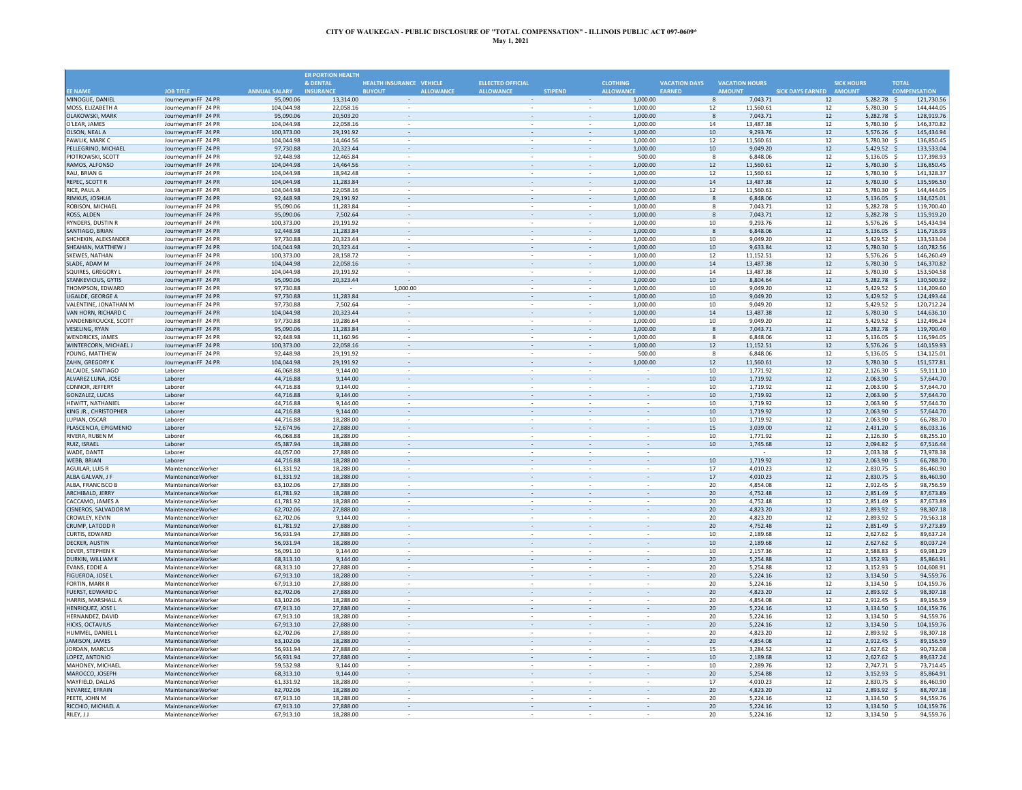|                                                  |                                          |                         | <b>ER PORTION HEALTH</b> |                                   |                               |                |                          |                            |                      |                          |                         |                              |              |                          |
|--------------------------------------------------|------------------------------------------|-------------------------|--------------------------|-----------------------------------|-------------------------------|----------------|--------------------------|----------------------------|----------------------|--------------------------|-------------------------|------------------------------|--------------|--------------------------|
|                                                  |                                          |                         | & DENTAL                 | HEALTH INSURANCE VEHICLE          | <b>ELLECTED OFFICIAL</b>      |                |                          | <b>CLOTHING</b>            | <b>VACATION DAYS</b> | <b>VACATION HOURS</b>    |                         | <b>SICK HOURS</b>            | <b>TOTAL</b> |                          |
| <b>FF NAME</b>                                   | <b>JOB TITLE</b>                         | <b>ANNUAL SALARY</b>    | <b>INSURANCE</b>         | <b>ALLOWANCE</b><br><b>BUYOUT</b> | <b>ALLOWANCE</b>              | <b>STIPEND</b> |                          | <b>ALLOWANCE</b><br>EARNED |                      | <b>AMOUNT</b>            | SICK DAYS EARNED AMOUNT |                              |              | <b>COMPENSATION</b>      |
| MINOGUE, DANIEL                                  | JourneymanFF 24 PR                       | 95,090.06               | 13,314.00                |                                   | $\bar{\phantom{a}}$           |                | $\sim$                   | 1,000.00                   |                      | 7,043.71<br>$\mathbf{g}$ | 12                      | $5,282.78$ \$                |              | 121,730.56               |
| MOSS, ELIZABETH A<br><b>OLAKOWSKI, MARK</b>      | JourneymanFF 24 PF<br>JourneymanFF 24 PF | 104,044.98<br>95,090,06 | 22.058.16<br>20,503.20   | $\overline{\phantom{a}}$          | $\overline{\phantom{a}}$      |                |                          | 1,000.00<br>1,000.00       | 12<br>8              | 11,560.61<br>7,043.71    | 12<br>12                | 5,780.30 \$<br>5.282.78 \$   |              | 144,444.05<br>128,919.76 |
| O'LEAR, JAMES                                    | JourneymanFF 24 PF                       | 104,044.98              | 22.058.16                |                                   |                               |                |                          | 1,000.00                   | 14                   | 13.487.38                | 12                      | 5,780.30 \$                  |              | 146.370.82               |
| OLSON, NEAL A                                    | JourneymanFF 24 PR                       | 100,373.00              | 29,191.92                |                                   |                               |                |                          | 1,000.00                   | $10\,$               | 9,293.76                 | $12\,$                  | 5,576.26 \$                  |              | 145,434.94               |
| PAWLIK, MARK C                                   | JourneymanFF 24 PR                       | 104,044.98              | 14,464.56                |                                   |                               |                |                          | 1,000.00                   | $12\,$               | 11,560.61                | $12\,$                  | 5,780.30                     | - \$         | 136,850.4                |
| PELLEGRINO, MICHAEL                              | JourneymanFF 24 PR                       | 97,730.88               | 20.323.44                |                                   |                               |                |                          | 1,000.00                   | 10                   | 9,049.20                 | $12\,$                  | 5,429.52 \$                  |              | 133.533.0                |
| PIOTROWSKI, SCOTT                                | JourneymanFF 24 PR                       | 92,448.98               | 12.465.84                |                                   | $\sim$                        |                | $\omega$                 | 500.00                     |                      | 6.848.06<br>8            | 12                      | 5.136.05                     | - 5          | 117,398.93               |
| RAMOS, ALFONSO                                   | JourneymanFF 24 PR                       | 104,044.98              | 14,464.56                |                                   | $\sim$                        |                |                          | 1,000.00                   | $12$                 | 11,560.61                | 12                      | 5,780.30 \$                  |              | 136,850.45               |
| RAU, BRIAN G                                     | JourneymanFF 24 PR                       | 104,044.98              | 18,942.48                | $\sim$                            | $\bar{z}$                     |                | $\overline{\phantom{a}}$ | 1,000.00                   | 12                   | 11,560.61                | 12                      | 5,780.30 \$                  |              | 141,328.37               |
| REPEC, SCOTT                                     | JourneymanFF 24 PR                       | 104,044.98              | 11,283.84                | $\overline{\phantom{a}}$          | $\overline{\phantom{a}}$      |                | $\overline{\phantom{a}}$ | 1,000.00                   | 14                   | 13,487.38                | 12                      | 5,780.30 \$                  |              | 135,596.50               |
| RICE, PAUL A<br>RIMKUS, JOSHUA                   | JourneymanFF 24 PF<br>JourneymanFF 24 PR | 104,044.98<br>92,448.98 | 22,058.16<br>29.191.92   | $\sim$                            | $\sim$<br>$\bar{\phantom{a}}$ |                | $\sim$                   | 1,000.00<br>1.000.00       | 12<br>$\mathbf{8}$   | 11,560.61<br>6.848.06    | 12<br>12                | 5,780.30 \$<br>$5,136.05$ \$ |              | 144,444.05<br>134,625.01 |
| ROBISON, MICHAEL                                 | JourneymanFF 24 PR                       | 95,090.06               | 11,283.84                |                                   |                               |                |                          | 1,000.00                   |                      | 7,043.71<br>8            | 12                      | 5,282.78 \$                  |              | 119,700.40               |
| ROSS, ALDEN                                      | JourneymanFF 24 PR                       | 95,090.06               | 7.502.64                 |                                   |                               |                |                          | 1,000.00                   |                      | 8<br>7.043.71            | 12                      | 5,282.78 \$                  |              | 115,919.20               |
| RYNDERS, DUSTIN R                                | JourneymanFF 24 PR                       | 100,373.00              | 29,191.92                |                                   |                               |                |                          | 1,000.00                   | 10                   | 9,293.76                 | 12                      | 5,576.26                     | -S           | 145,434.94               |
| SANTIAGO, BRIAN                                  | JourneymanFF 24 PR                       | 92,448.98               | 11,283.84                |                                   |                               |                |                          | 1.000.00                   | 8                    | 6.848.06                 | 12                      | 5,136.05                     | - S          | 116,716.93               |
| SHCHEKIN, ALEKSANDER                             | JourneymanFF 24 PR                       | 97.730.88               | 20.323.44                |                                   |                               |                |                          | 1.000.00                   | 10                   | 9,049.20                 | 12                      | 5,429.52                     | - S          | 133,533.04               |
| SHEAHAN, MATTHEW J                               | JourneymanFF 24 PR                       | 104,044.98              | 20,323.44                | ۰                                 | $\sim$                        |                | $\overline{\phantom{a}}$ | 1,000.00                   | 10                   | 9,633.84                 | 12                      | 5,780.30 \$                  |              | 140,782.56               |
| SKEWES, NATHAN                                   | JourneymanFF 24 PF                       | 100,373.00              | 28.158.72                |                                   |                               |                |                          | 1.000.00                   | 12                   | 11,152.51                | 12                      | 5.576.26 \$                  |              | 146.260.4                |
| SLADE, ADAM M                                    | JourneymanFF 24 PR                       | 104,044.98              | 22,058.16                | $\overline{\phantom{a}}$          | $\overline{\phantom{a}}$      |                |                          | 1,000.00                   | 14                   | 13,487.38                | 12                      | 5,780.30 \$                  |              | 146,370.82               |
| SQUIRES, GREGORY L<br><b>STANKEVICIUS, GYTIS</b> | JourneymanFF 24 PF<br>JourneymanFF 24 PR | 104,044.98<br>95,090.06 | 29.191.92<br>20,323.44   | $\sim$                            |                               |                |                          | 1.000.00<br>1,000.00       | 14<br>10             | 13.487.38<br>8.804.64    | 12<br>12                | 5.780.30 \$<br>5,282.78 \$   |              | 153.504.58<br>130,500.92 |
| THOMPSON, EDWARD                                 | JourneymanFF 24 PR                       | 97,730.88               |                          | 1,000.00                          |                               |                |                          | 1,000.00                   | 10                   | 9,049.20                 | 12                      | 5,429.52 \$                  |              | 114,209.60               |
| UGALDE, GEORGE A                                 | JourneymanFF 24 PR                       | 97,730.88               | 11,283.84                |                                   |                               |                |                          | 1,000.00                   | 10                   | 9,049.20                 | $12\,$                  | 5,429.52                     |              | 124,493.44               |
| VALENTINE, JONATHAN M                            | JourneymanFF 24 PR                       | 97,730.88               | 7.502.64                 |                                   |                               |                |                          | 1.000.00                   | 10                   | 9,049.20                 | 12                      | 5.429.52                     |              | 120,712.24               |
| VAN HORN, RICHARD C.                             | JourneymanFF 24 PR                       | 104,044.98              | 20,323.44                |                                   | $\sim$                        |                |                          | 1,000.00                   | 14                   | 13,487.38                | 12                      | 5,780.30 \$                  |              | 144,636.10               |
| VANDENBROUCKE, SCOTT                             | JourneymanFF 24 PR                       | 97,730.88               | 19,286.64                | $\sim$                            | $\bar{z}$                     |                | $\overline{\phantom{a}}$ | 1,000.00                   | 10                   | 9,049.20                 | 12                      | 5,429.52 \$                  |              | 132,496.24               |
| VESELING, RYAN                                   | JourneymanFF 24 PR                       | 95,090.06               | 11,283.84                | $\overline{\phantom{a}}$          | $\overline{\phantom{a}}$      |                | $\overline{\phantom{a}}$ | 1,000.00                   | 8                    | 7,043.71                 | 12                      | $5,282.78$ \$                |              | 119,700.40               |
| <b>WENDRICKS, JAMES</b>                          | JourneymanFF 24 PF                       | 92,448.98               | 11,160.96                |                                   | $\overline{\phantom{a}}$      |                | $\overline{\phantom{a}}$ | 1,000.00                   |                      | 6,848.06<br>8            | $12\,$                  | 5,136.05 \$                  |              | 116,594.05               |
| WINTERCORN, MICHAEL J                            | JourneymanFF 24 PR                       | 100,373.00              | 22.058.16                |                                   | $\sim$                        |                | $\overline{\phantom{a}}$ | 1.000.00                   | 12                   | 11,152.51                | 12                      | 5.576.26 \$                  |              | 140.159.93               |
| YOUNG, MATTHEW                                   | JourneymanFF 24 PR                       | 92,448.98               | 29,191.92                |                                   |                               |                |                          | 500.00                     | $\mathbf{8}$         | 6,848.06                 | 12                      | $5,136.05$ \$                |              | 134,125.01               |
| ZAHN, GREGORY K                                  | JourneymanFF 24 PR                       | 104,044.98              | 29,191.92                |                                   |                               |                |                          | 1,000.00                   | 12                   | 11,560.61                | $12\,$                  | 5,780.30 \$                  |              | 151,577.8                |
| ALCAIDE, SANTIAGO<br>ALVAREZ LUNA, JOSE          | Laborer<br>Laborer                       | 46,068.88<br>44,716.88  | 9,144.00<br>9,144.00     |                                   |                               |                |                          |                            | 10<br>10             | 1,771.92<br>1,719.92     | 12<br>12                | 2,126.30 \$<br>$2,063.90$ \$ |              | 59,111.10<br>57.644.70   |
| CONNOR, JEFFERY                                  | Laborer                                  | 44,716.88               | 9.144.00                 |                                   |                               |                |                          |                            | 10                   | 1.719.92                 | 12                      | 2.063.90                     | - \$         | 57,644.70                |
| GONZALEZ, LUCAS                                  | Laborer                                  | 44,716.88               | 9,144.00                 |                                   | $\sim$                        |                |                          | $\sim$                     | 10                   | 1,719.92                 | 12                      | 2,063.90 \$                  |              | 57,644.70                |
| <b>HEWITT, NATHANIE</b>                          | Laborer                                  | 44,716.88               | 9,144.00                 | $\sim$                            | $\sim$                        |                |                          | $\sim$                     | 10                   | 1,719.92                 | 12                      | 2,063.90                     | - s          | 57,644.70                |
| KING JR., CHRISTOPHER                            | Laborer                                  | 44,716.88               | 9,144.00                 | $\sim$                            | $\overline{\phantom{a}}$      |                | $\overline{\phantom{a}}$ | $\overline{\phantom{a}}$   | 10                   | 1,719.92                 | 12                      | $2,063.90$ \$                |              | 57,644.70                |
| LUPIAN, OSCAR                                    | Laborer                                  | 44.716.88               | 18,288,00                |                                   |                               |                |                          |                            | 10                   | 1.719.92                 | 12                      | 2.063.90                     | .S           | 66,788.70                |
| PLASCENCIA, EPIGMENIO                            | Laborer                                  | 52,674.96               | 27,888.00                |                                   |                               |                |                          |                            | 15                   | 3,039.00                 | 12                      | $2,431.20$ \$                |              | 86,033.16                |
| RIVERA, RUBEN M                                  | Laborer                                  | 46,068.88               | 18,288.00                |                                   |                               |                |                          |                            | 10                   | 1,771.92                 | 12                      | 2,126.30                     |              | 68,255.10                |
| RUIZ, ISRAEL                                     | Laborer                                  | 45,387.94               | 18,288.00                |                                   |                               |                |                          |                            | 10                   | 1,745.68                 | 12                      | 2,094.82                     | - S          | 67,516.44                |
| WADE, DANTE<br><b>WEBB, BRIAN</b>                | Laborer<br>Laborer                       | 44,057.00               | 27,888.00<br>18,288.00   |                                   | $\sim$                        |                |                          |                            | 10                   | 1,719.92                 | 12<br>12                | 2,033.38<br>2,063.90         | - 5<br>- 5   | 73,978.38<br>66,788.70   |
| <b>AGUILAR, LUIS R</b>                           | MaintenanceWorker                        | 44,716.88<br>61,331.92  | 18,288.00                | $\sim$                            | $\sim$                        |                | $\sim$                   | ×.                         | 17                   | 4,010.23                 | 12                      | 2,830.75 \$                  |              | 86,460.90                |
| ALBA GALVAN, J F                                 | MaintenanceWorker                        | 61,331.92               | 18,288,00                | $\sim$                            | $\sim$                        |                | $\overline{\phantom{a}}$ | $\overline{\phantom{a}}$   | 17                   | 4,010.23                 | 12                      | 2,830.75 \$                  |              | 86,460.90                |
| ALBA, FRANCISCO B                                | MaintenanceWorker                        | 63,102.06               | 27,888.00                | $\overline{\phantom{a}}$          | $\sim$                        |                | $\overline{\phantom{a}}$ | $\cdot$                    | 20                   | 4,854.08                 | 12                      | 2,912.45 \$                  |              | 98,756.59                |
| ARCHIBALD, JERRY                                 | MaintenanceWorker                        | 61,781.92               | 18,288.00                |                                   | $\overline{\phantom{a}}$      |                |                          |                            | 20                   | 4,752.48                 | 12                      | 2,851.49                     | - S          | 87,673.89                |
| CACCAMO. JAMES A                                 | MaintenanceWorker                        | 61,781.92               | 18.288.00                |                                   |                               |                |                          |                            | 20                   | 4.752.48                 | 12                      | 2.851.49 \$                  |              | 87.673.89                |
| CISNEROS, SALVADOR M                             | MaintenanceWorker                        | 62,702.06               | 27,888.00                |                                   | $\overline{\phantom{a}}$      |                |                          |                            | 20                   | 4,823.20                 | $12\,$                  | 2,893.92 \$                  |              | 98,307.18                |
| <b>CROWLEY, KEVIN</b>                            | MaintenanceWorker                        | 62,702.06               | 9.144.00                 |                                   |                               |                |                          |                            | 20                   | 4,823.20                 | 12                      | 2,893.92                     |              | 79,563.18                |
| <b>CRUMP, LATODD F</b>                           | MaintenanceWorker                        | 61,781.92               | 27,888,00                |                                   |                               |                |                          |                            | 20                   | 4.752.48                 | 12                      | 2,851.49                     | - S          | 97.273.89                |
| <b>CURTIS, EDWARD</b><br>DECKER, AUSTIN          | MaintenanceWorker<br>MaintenanceWorker   | 56.931.94<br>56,931.94  | 27,888.00<br>18,288.00   |                                   | $\overline{\phantom{a}}$      |                | $\overline{\phantom{a}}$ | $\sim$                     | 10<br>10             | 2,189.68<br>2,189.68     | 12<br>12                | 2.627.62<br>$2,627.62$ \$    | - Ś          | 89.637.24<br>80,037.24   |
| <b>DEVER, STEPHEN K</b>                          | MaintenanceWorker                        | 56,091.10               | 9,144.00                 | $\mathcal{L}$                     | $\sim$                        |                | ÷,                       | $\sim$                     | 10                   | 2,157.36                 | 12                      | 2,588.83 \$                  |              | 69,981.29                |
| DURKIN, WILLIAM K                                | MaintenanceWorker                        | 68,313.10               | 9,144.00                 | $\sim$                            | $\overline{\phantom{a}}$      |                | $\overline{\phantom{a}}$ | $\overline{\phantom{a}}$   | 20                   | 5,254.88                 | 12                      | $3,152.93$ \$                |              | 85,864.91                |
| <b>FVANS, FDDIF A</b>                            | MaintenanceWorker                        | 68.313.10               | 27.888.00                |                                   | $\sim$                        |                |                          |                            | 20                   | 5.254.88                 | 12                      | 3.152.93 \$                  |              | 104.608.91               |
| FIGUEROA, JOSE L                                 | MaintenanceWorker                        | 67,913.10               | 18,288.00                |                                   |                               |                |                          |                            | 20                   | 5,224.16                 | 12                      | 3,134.50 \$                  |              | 94.559.76                |
| <b>FORTIN, MARK R</b>                            | MaintenanceWorker                        | 67,913.10               | 27,888.00                |                                   |                               |                |                          |                            | 20                   | 5,224.16                 | 12                      | $3,134.50$ \$                |              | 104,159.76               |
| FUERST, EDWARD C                                 | MaintenanceWorker                        | 62,702.06               | 27,888.00                |                                   |                               |                |                          |                            | 20                   | 4,823.20                 | 12                      | 2,893.92                     | - \$         | 98,307.18                |
| HARRIS, MARSHALL A                               | MaintenanceWorker                        | 63,102.06               | 18,288.00                |                                   |                               |                |                          |                            | 20                   | 4,854.08                 | 12                      | 2,912.45                     | $\prec$      | 89,156.59                |
| HENRIOUEZ, JOSE L                                | MaintenanceWorker                        | 67,913.10               | 27,888.00                |                                   |                               |                |                          |                            | 20                   | 5,224.16                 | 12                      | 3,134.50                     | - 5          | 104,159.76               |
| HERNANDEZ, DAVID                                 | MaintenanceWorker                        | 67,913.10               | 18,288.00                | $\sim$                            | $\sim$                        |                | $\sim$                   | ×.                         | 20                   | 5,224.16                 | 12                      | 3,134.50 \$                  |              | 94,559.76                |
| HICKS, OCTAVIUS                                  | MaintenanceWorker                        | 67,913.10               | 27,888,00                | $\sim$                            | $\sim$                        |                | $\overline{\phantom{a}}$ | $\sim$                     | 20                   | 5,224.16                 | 12                      | $3,134.50$ \$                |              | 104,159.76               |
| HUMMEL, DANIEL L                                 | MaintenanceWorker                        | 62,702.06               | 27,888.00                |                                   | $\overline{\phantom{a}}$      |                | $\overline{\phantom{a}}$ |                            | 20<br>20             | 4,823.20                 | 12                      | 2,893.92 \$                  |              | 98,307.18<br>89.156.59   |
| JAMISON, JAMES<br>JORDAN, MARCUS                 | MaintenanceWorker<br>MaintenanceWorker   | 63,102.06<br>56.931.94  | 18,288.00<br>27,888.00   |                                   | $\overline{\phantom{a}}$      |                |                          |                            | 15                   | 4,854.08<br>3.284.52     | 12<br>12                | 2,912.45 \$<br>$2.627.62$ \$ |              | 90,732.08                |
| LOPEZ, ANTONIO                                   | MaintenanceWorker                        | 56,931.94               | 27,888.00                |                                   | $\sim$                        |                |                          |                            | $10\,$               | 2,189.68                 | $12\,$                  | $2,627.62$ \$                |              | 89,637.24                |
| MAHONEY, MICHAEL                                 | MaintenanceWorker                        | 59,532.98               | 9.144.00                 |                                   |                               |                |                          |                            | 10                   | 2,289.76                 | 12                      | 2,747.71                     |              | 73,714.45                |
| MAROCCO, JOSEPH                                  | MaintenanceWorker                        | 68,313.10               | 9,144.00                 |                                   |                               |                |                          |                            | 20                   | 5.254.88                 | 12                      | 3,152.93                     | - S          | 85.864.9                 |
| MAYFIELD, DALLAS                                 | MaintenanceWorker                        | 61,331.92               | 18,288,00                |                                   |                               |                |                          |                            | 17                   | 4.010.23                 | 12                      | 2,830.75                     | - 5          | 86,460.90                |
| NEVAREZ, EFRAIN                                  | MaintenanceWorker                        | 62,702.06               | 18,288.00                | $\mathcal{L}$                     | $\sim$                        |                |                          | $\sim$                     | 20                   | 4,823.20                 | 12                      | 2.893.92 \$                  |              | 88,707.18                |
| PEETE. JOHN M                                    | MaintenanceWorker                        | 67,913.10               | 18,288.00                |                                   |                               |                |                          |                            | 20                   | 5,224.16                 | 12                      | $3,134.50$ \$                |              | 94,559.76                |
| RICCHIO, MICHAEL A                               | MaintenanceWorker                        | 67,913.10               | 27,888.00                |                                   | $\overline{\phantom{a}}$      |                | $\overline{\phantom{a}}$ |                            | 20                   | 5,224.16                 | $12\,$                  | 3,134.50 \$                  |              | 104,159.76               |
| RILEY, J J                                       | MaintenanceWorker                        | 67.913.10               | 18,288,00                |                                   |                               |                |                          |                            | 20                   | 5.224.16                 | 12                      | 3.134.50 \$                  |              | 94.559.76                |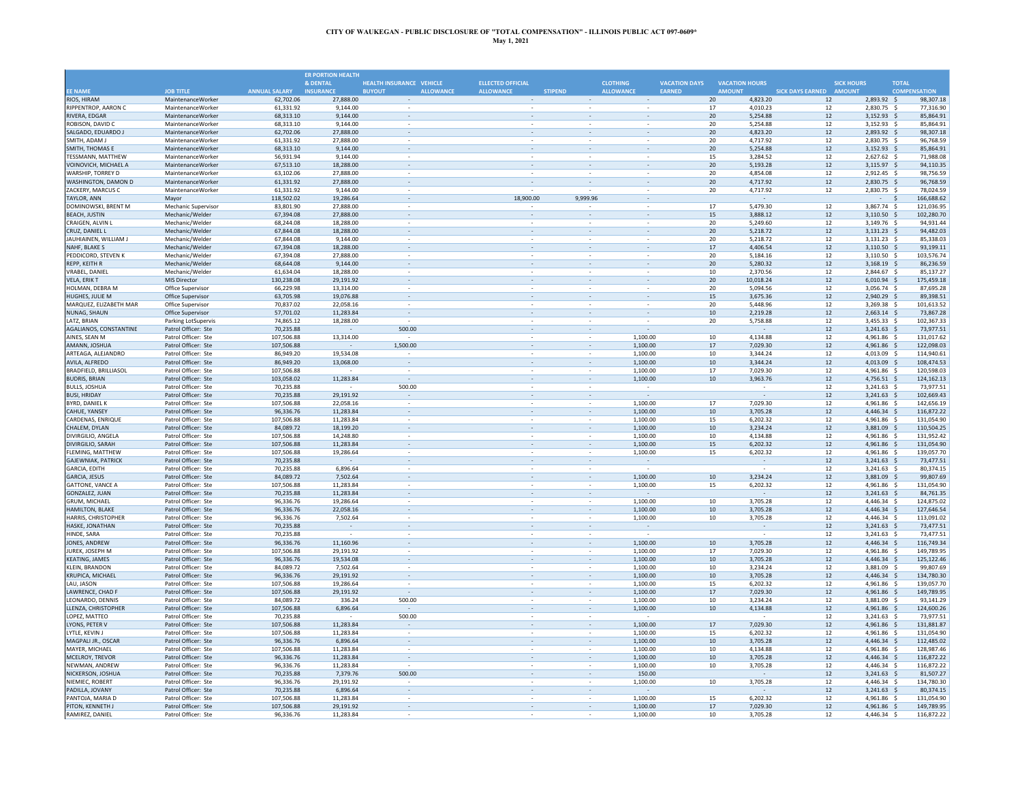|                                             |                                            |                          | <b>ER PORTION HEALTH</b> |                                   |                                    |                                                      |                          |                      |                            |                         |                            |                                      |
|---------------------------------------------|--------------------------------------------|--------------------------|--------------------------|-----------------------------------|------------------------------------|------------------------------------------------------|--------------------------|----------------------|----------------------------|-------------------------|----------------------------|--------------------------------------|
|                                             |                                            |                          | & DENTAL                 | HEALTH INSURANCE VEHICLE          | <b>ELLECTED OFFICIAL</b>           |                                                      | <b>CLOTHING</b>          | <b>VACATION DAYS</b> | <b>VACATION HOURS</b>      |                         | <b>SICK HOURS</b>          | <b>TOTAL</b>                         |
| <b>EE NAME</b>                              | <b>JOB TITLE</b>                           | <b>ANNUAL SALARY</b>     | <b>INSURANCE</b>         | <b>ALLOWANCE</b><br><b>BUYOUT</b> | <b>ALLOWANCE</b>                   | <b>STIPEND</b>                                       | <b>ALLOWANCE</b>         | EARNED               | <b>AMOUNT</b>              | SICK DAYS EARNED AMOUNT |                            | <b>COMPENSATION</b>                  |
| RIOS, HIRAM                                 | MaintenanceWorker                          | 62,702.06                | 27,888.00                |                                   |                                    | $\sim$                                               | $\sim$                   | 20                   | 4.823.20                   | 12                      | 2,893.92 \$                | 98,307.18                            |
| RIPPENTROP, AARON C<br><b>RIVERA, EDGAR</b> | MaintenanceWorker<br>MaintenanceWorker     | 61,331.92<br>68.313.10   | 9,144.00<br>9,144,00     | $\sim$                            |                                    |                                                      |                          | 17<br>20             | 4,010.23<br>5.254.88       | 12<br>12                | 2,830.75 \$<br>3,152.93 \$ | 77,316.90<br>85.864.91               |
| ROBISON, DAVID C                            | MaintenanceWorker                          | 68,313.10                | 9,144.00                 |                                   |                                    |                                                      |                          | 20                   | 5,254.88                   | 12                      | 3,152.93 \$                | 85,864.91                            |
| SALGADO, EDUARDO J                          | MaintenanceWorker                          | 62,702.06                | 27,888.00                |                                   |                                    |                                                      |                          | 20                   | 4.823.20                   | 12                      | 2,893.92 \$                | 98.307.1                             |
| SMITH, ADAM J                               | MaintenanceWorker                          | 61,331.92                | 27,888.00                |                                   |                                    |                                                      |                          | 20                   | 4,717.92                   | 12                      | 2,830.75 \$                | 96,768.59                            |
| <b>SMITH, THOMAS E</b>                      | MaintenanceWorker                          | 68,313.10                | 9,144.00                 |                                   |                                    |                                                      |                          | 20                   | 5,254.88                   | 12                      | 3,152.93 \$                | 85,864.9                             |
| TFSSMANN, MATTHFW                           | MaintenanceWorker                          | 56,931.94                | 9.144.00                 | $\sim$                            | $\sim$                             | $\sim$                                               | ÷.                       | 15                   | 3,284.52                   | 12                      | 2,627.62 \$                | 71.988.08                            |
| VOINOVICH, MICHAEL A                        | MaintenanceWorker                          | 67,513.10                | 18,288.00                | ä,                                |                                    | ÷,                                                   | $\bar{z}$                | 20                   | 5,193.28                   | 12                      | 3,115.97 \$                | 94,110.35                            |
| WARSHIP, TORREY D                           | MaintenanceWorker                          | 63,102.06                | 27,888,00                | $\sim$                            | $\sim$                             | $\hat{\phantom{a}}$                                  | $\sim$                   | 20                   | 4.854.08                   | 12                      | 2,912.45 \$                | 98,756.59                            |
| WASHINGTON, DAMON D                         | MaintenanceWorker                          | 61,331.92                | 27,888.00                | $\overline{\phantom{a}}$          | $\overline{\phantom{a}}$           | $\overline{\phantom{a}}$                             | $\overline{\phantom{a}}$ | 20                   | 4,717.92                   | 12                      | 2,830.75 \$                | 96,768.59                            |
| ZACKERY, MARCUS C                           | MaintenanceWorker                          | 61.331.92                | 9.144.00                 | $\sim$                            |                                    |                                                      | $\sim$                   | 20                   | 4,717.92                   | 12                      | 2,830.75 \$                | 78.024.59                            |
| TAYLOR, ANN                                 | Mayor                                      | 118,502.02               | 19,286.64                |                                   | 18,900.00                          | 9,999.96                                             |                          |                      |                            |                         | $-5$                       | 166,688.62                           |
| DOMINOWSKI, BRENT M                         | Mechanic Supervisor                        | 83,801.90                | 27,888.00                |                                   |                                    |                                                      |                          | 17                   | 5,479.30                   | 12                      | 3,867.74 \$                | 121.036.95                           |
| <b>BEACH, JUSTIN</b><br>CRAIGEN, ALVIN I    | Mechanic/Welder<br>Mechanic/Welder         | 67,394.08<br>68.244.08   | 27,888.00<br>18,288.00   |                                   |                                    |                                                      |                          | 20                   | 15<br>3,888.12<br>5.249.60 | 12<br>12                | 3,110.50<br>3,149.76       | 102,280.70<br>-\$<br>94.931.44<br>-S |
| CRUZ. DANIEL L                              | Mechanic/Welder                            | 67,844.08                | 18.288.00                | $\overline{\phantom{a}}$          |                                    | $\overline{\phantom{a}}$                             | $\sim$                   | 20                   | 5,218.72                   | 12                      | 3.131.23                   | 94.482.0<br>-S                       |
| JAUHIAINEN, WILLIAM J                       | Mechanic/Welder                            | 67,844.08                | 9.144.00                 |                                   |                                    |                                                      |                          | 20                   | 5,218.72                   | 12                      | 3,131.23 \$                | 85,338.03                            |
| NAHF. BLAKE S                               | Mechanic/Welder                            | 67,394.08                | 18,288.00                | $\omega$                          |                                    | $\overline{\phantom{a}}$                             | $\overline{\phantom{a}}$ | 17                   | 4,406.54                   | 12                      | $3,110.50$ \$              | 93,199.11                            |
| PEDDICORD, STEVEN K                         | Mechanic/Welder                            | 67,394.08                | 27,888.00                | $\blacksquare$                    |                                    |                                                      |                          | 20                   | 5,184.16                   | 12                      | 3,110.50 \$                | 103,576.74                           |
| REPP, KEITH R                               | Mechanic/Welder                            | 68,644.08                | 9,144.00                 | $\overline{\phantom{a}}$          | $\sim$                             | $\overline{\phantom{a}}$                             |                          | 20                   | 5,280.32                   | 12                      | $3,168.19$ \$              | 86,236.59                            |
| <b>VRABEL, DANIEL</b>                       | Mechanic/Welder                            | 61,634.04                | 18,288.00                |                                   |                                    |                                                      |                          | 10                   | 2,370.56                   | 12                      | 2,844.67 \$                | 85,137.27                            |
| VELA, ERIK T                                | MIS Director                               | 130,238.08               | 29,191.92                |                                   |                                    |                                                      |                          | 20                   | 10,018.24                  | 12                      | $6,010.94$ \$              | 175,459.18                           |
| HOLMAN, DEBRA M                             | Office Supervisor                          | 66,229.98                | 13,314.00                |                                   |                                    |                                                      |                          | 20                   | 5,094.56                   | 12                      | 3,056.74 \$                | 87,695.28                            |
| <b>HUGHES, JULIE M</b>                      | Office Supervisor                          | 63,705.98                | 19,076.88                |                                   |                                    |                                                      |                          | 15                   | 3,675.36                   | 12                      | 2,940.29                   | -Ś<br>89,398.5                       |
| MARQUEZ, ELIZABETH MAR                      | Office Supervisor                          | 70,837.02                | 22.058.16                |                                   |                                    |                                                      |                          | 20                   | 5.448.96                   | 12                      | 3,269.38 \$                | 101,613.52                           |
| NUNAG, SHAUN                                | Office Supervisor                          | 57,701.02                | 11,283.84                | $\sim$                            |                                    |                                                      | $\sim$                   | 10                   | 2,219.28                   | 12                      | $2,663.14$ \$              | 73,867.28                            |
| LATZ, BRIAN                                 | <b>Parking LotSupervis</b>                 | 74,865.12<br>70,235.88   | 18,288.00                | 500.00                            | $\overline{\phantom{a}}$           | $\overline{\phantom{a}}$                             | $\sim$                   | 20                   | 5,758.88                   | 12<br>12                | 3,455.33 \$                | 102,367.33<br>73,977.53              |
| AGALIANOS, CONSTANTINE<br>AINES. SEAN M     | Patrol Officer: Ste<br>Patrol Officer: Ste | 107.506.88               | 13,314.00                |                                   | $\overline{\phantom{a}}$<br>$\sim$ | $\overline{\phantom{a}}$<br>$\overline{\phantom{a}}$ | 1.100.00                 | 10                   | 4.134.88                   | 12                      | 3,241.63 \$<br>4.961.86 \$ | 131,017.62                           |
| AMANN, JOSHUA                               | Patrol Officer: Ste                        | 107,506.88               |                          | 1,500.00                          |                                    |                                                      | 1,100.00                 | 17                   | 7,029.30                   | 12                      | 4,961.86 \$                | 122,098.03                           |
| ARTEAGA, ALEJANDRO                          | Patrol Officer: Ste                        | 86,949.20                | 19.534.08                |                                   |                                    |                                                      | 1.100.00                 | 10                   | 3.344.24                   | 12                      | 4.013.09 \$                | 114.940.63                           |
| AVILA, ALFREDO                              | Patrol Officer: Ste                        | 86,949.20                | 13,068.00                |                                   |                                    |                                                      | 1,100.00                 |                      | 10<br>3.344.24             | 12                      | 4,013.09                   | 108.474.53<br>-Ś                     |
| <b>BRADFIELD, BRILLIASOL</b>                | Patrol Officer: Ste                        | 107.506.88               |                          | ٠                                 |                                    |                                                      | 1.100.00                 | 17                   | 7.029.30                   | 12                      | 4.961.86 \$                | 120.598.03                           |
| <b>BUDRIS, BRIAN</b>                        | Patrol Officer: Ste                        | 103,058.02               | 11,283.84                |                                   |                                    | $\sim$                                               | 1,100.00                 | 10                   | 3,963.76                   | 12                      | 4.756.51 \$                | 124,162.13                           |
| <b>BULLS, JOSHUA</b>                        | Patrol Officer: Ste                        | 70,235.88                |                          | 500.00                            |                                    |                                                      |                          |                      |                            | 12                      | 3,241.63 \$                | 73,977.5                             |
| <b>BUSI, HRIDAY</b>                         | Patrol Officer: Ste                        | 70,235.88                | 29,191.92                | $\omega$                          |                                    |                                                      |                          |                      | $\sim$                     | 12                      | $3,241.63$ \$              | 102,669.43                           |
| <b>BYRD, DANIEL K</b>                       | Patrol Officer: Ste                        | 107,506.88               | 22.058.16                | $\overline{\phantom{a}}$          |                                    |                                                      | 1.100.00                 | 17                   | 7.029.30                   | 12                      | 4.961.86 \$                | 142.656.19                           |
| <b>CAHUE, YANSEY</b>                        | Patrol Officer: Ste                        | 96.336.76                | 11.283.84                | $\overline{\phantom{a}}$          | $\sim$                             | $\overline{\phantom{a}}$                             | 1.100.00                 | 10                   | 3.705.28                   | $12$                    | 4,446.34 \$                | 116,872.22                           |
| CARDENAS, ENRIQUE                           | Patrol Officer: Ste                        | 107,506.88               | 11,283.84                |                                   |                                    |                                                      | 1,100.00                 |                      | 15<br>6,202.32             | 12                      | 4,961.86 \$                | 131,054.90                           |
| CHALEM, DYLAN                               | Patrol Officer: Ste                        | 84,089.72                | 18,199.20                |                                   |                                    |                                                      | 1,100.00                 |                      | $10\,$<br>3,234.24         | 12                      | 3,881.09 \$                | 110,504.25                           |
| DIVIRGILIO, ANGELA                          | Patrol Officer: Ste                        | 107,506.88               | 14,248.80                |                                   |                                    |                                                      | 1,100.00                 | 10                   | 4,134.88                   | 12                      | 4,961.86                   | 131,952.42                           |
| DIVIRGILIO, SARAH<br>FLFMING, MATTHFW       | Patrol Officer: Ste<br>Patrol Officer: Ste | 107,506.88               | 11,283.84                | ÷                                 | ÷.                                 | ÷                                                    | 1,100.00                 | 15                   | 6,202.32                   | 12<br>12                | 4,961.86 \$<br>4.961.86 \$ | 131,054.90<br>139,057.70             |
| <b>GAJEWNIAK, PATRICK</b>                   | Patrol Officer: Ste                        | 107,506.88<br>70,235.88  | 19,286.64                | $\sim$                            |                                    | $\sim$                                               | 1,100.00                 | 15                   | 6,202.32                   | 12                      | $3,241.63$ \$              | 73,477.51                            |
| GARCIA, EDITH                               | Patrol Officer: Ste                        | 70,235.88                | 6,896.64                 | $\sim$                            | $\sim$                             | $\bar{a}$                                            |                          |                      |                            | 12                      | $3.241.63$ \$              | 80,374.15                            |
| GARCIA, JESUS                               | Patrol Officer: Ste                        | 84,089.72                | 7,502.64                 |                                   |                                    | $\overline{\phantom{a}}$                             | 1,100.00                 | 10                   | 3,234.24                   | 12                      | 3,881.09 \$                | 99,807.69                            |
| <b>GATTONE, VANCE A</b>                     | Patrol Officer: Ste                        | 107,506.88               | 11.283.84                |                                   |                                    | $\overline{\phantom{a}}$                             | 1,100.00                 | 15                   | 6,202.32                   | 12                      | 4.961.86 \$                | 131,054.90                           |
| <b>GONZALEZ, JUAN</b>                       | Patrol Officer: Ste                        | 70,235.88                | 11,283.84                |                                   |                                    |                                                      |                          |                      |                            | 12                      | $3,241.63$ \$              | 84.761.35                            |
| <b>GRUM, MICHAEL</b>                        | Patrol Officer: Ste                        | 96,336.76                | 19,286.64                |                                   |                                    |                                                      | 1,100.00                 | $10\,$               | 3,705.28                   | 12                      | 4,446.34 \$                | 124.875.02                           |
| HAMILTON, BLAKE                             | Patrol Officer: Ste                        | 96,336.76                | 22,058.16                |                                   |                                    |                                                      | 1,100.00                 |                      | $10\,$<br>3,705.28         | 12                      | 4,446.34                   | 127,646.54<br>-\$                    |
| HARRIS, CHRISTOPHER                         | Patrol Officer: Ste                        | 96.336.76                | 7,502.64                 |                                   |                                    |                                                      | 1,100.00                 |                      | 10<br>3,705.28             | 12                      | 4,446.34                   | 113,091.02<br>$\ddot{\phantom{1}}$   |
| HASKE, JONATHAN                             | Patrol Officer: Ste                        | 70,235.88                |                          | $\sim$                            |                                    | $\bar{z}$                                            |                          |                      |                            | 12                      | $3,241.63$ \$              | 73,477.51                            |
| HINDE, SARA                                 | Patrol Officer: Ste                        | 70.235.88                |                          | $\sim$                            |                                    | ÷,                                                   |                          |                      | $\sim$                     | 12                      | 3,241.63 \$                | 73,477.5                             |
| JONES, ANDREW                               | Patrol Officer: Ste                        | 96,336.76                | 11,160.96                | $\sim$                            |                                    | $\overline{\phantom{a}}$                             | 1,100.00                 |                      | 10<br>3,705.28             | 12                      | 4,446.34 \$                | 116,749.34                           |
| JUREK, JOSEPH M                             | Patrol Officer: Ste                        | 107.506.88               | 29.191.92                | $\sim$                            |                                    | $\sim$                                               | 1.100.00                 | 17                   | 7.029.30                   | 12                      | 4.961.86 \$                | 149.789.9                            |
| <b>KEATING, JAMES</b>                       | Patrol Officer: Ste                        | 96.336.76                | 19,534.08                |                                   |                                    | $\overline{\phantom{a}}$                             | 1.100.00                 | 10                   | 3.705.28                   | 12                      | $4,446.34$ \$              | 125,122.46                           |
| <b>KLEIN, BRANDON</b>                       | Patrol Officer: Ste<br>Patrol Officer: Ste | 84,089.72                | 7,502.64                 |                                   |                                    |                                                      | 1,100.00                 | $10\,$               | 3,234.24                   | 12                      | 3,881.09 \$                | 99,807.69                            |
| KRUPICA, MICHAEL                            |                                            | 96,336.76                | 29,191.92                |                                   |                                    |                                                      | 1,100.00                 |                      | $10\,$<br>3,705.28         | 12                      | 4,446.34 \$                | 134,780.30                           |
| LAU, JASON<br><b>LAWRENCE, CHAD F</b>       | Patrol Officer: Ste<br>Patrol Officer: Ste | 107,506.88<br>107,506.88 | 19,286.64<br>29,191.92   |                                   |                                    |                                                      | 1,100.00<br>1,100.00     | 15<br>17             | 6,202.32<br>7.029.30       | 12<br>12                | 4,961.86 \$<br>4,961.86 \$ | 139,057.70<br>149,789.95             |
| LEONARDO, DENNIS                            | Patrol Officer: Ste                        | 84,089.72                | 336.24                   | 500.00                            |                                    | ÷.                                                   | 1,100.00                 | 10                   | 3,234.24                   | 12                      | 3,881.09 \$                | 93,141.29                            |
| LLENZA, CHRISTOPHER                         | Patrol Officer: Ste                        | 107,506.88               | 6,896.64                 |                                   |                                    | $\bar{z}$                                            | 1,100.00                 | 10                   | 4,134.88                   | 12                      | 4,961.86 \$                | 124,600.26                           |
| LOPEZ, MATTEO                               | Patrol Officer: Ste                        | 70,235.88                |                          | 500.00                            | $\sim$                             | $\overline{\phantom{a}}$                             |                          |                      |                            | 12                      | $3,241.63$ \$              | 73,977.51                            |
| LYONS, PETER V                              | Patrol Officer: Ste                        | 107,506.88               | 11,283.84                |                                   | $\sim$                             | $\overline{\phantom{a}}$                             | 1,100.00                 | $17\,$               | 7,029.30                   | 12                      | 4,961.86 \$                | 131,881.87                           |
| <b>LYTLE, KEVIN J</b>                       | Patrol Officer: Ste                        | 107,506.88               | 11.283.84                | $\sim$                            |                                    |                                                      | 1.100.00                 | 15                   | 6.202.32                   | 12                      | 4.961.86 \$                | 131.054.90                           |
| MAGPALI JR., OSCAR                          | Patrol Officer: Ste                        | 96,336.76                | 6,896.64                 |                                   |                                    | $\overline{\phantom{a}}$                             | 1,100.00                 |                      | 10<br>3,705.28             | 12                      | 4,446.34 \$                | 112,485.02                           |
| MAYER, MICHAEL                              | Patrol Officer: Ste                        | 107,506.88               | 11.283.84                |                                   |                                    |                                                      | 1.100.00                 | 10                   | 4.134.88                   | 12                      | 4.961.86 \$                | 128.987.46                           |
| MCELROY, TREVOR                             | Patrol Officer: Ste                        | 96,336.76                | 11,283.84                |                                   |                                    |                                                      | 1,100.00                 |                      | 10<br>3,705.28             | 12                      | 4,446.34                   | 116,872.22<br>-Ś                     |
| NEWMAN, ANDREW                              | Patrol Officer: Ste                        | 96,336.76                | 11.283.84                |                                   |                                    |                                                      | 1.100.00                 | 10                   | 3,705.28                   | 12                      | 4.446.34 \$                | 116.872.22                           |
| NICKERSON, JOSHUA                           | Patrol Officer: Ste                        | 70,235.88                | 7.379.76                 | 500.00                            |                                    | $\overline{\phantom{a}}$                             | 150.00                   |                      |                            | 12                      | $3,241.63$ \$              | 81,507.27                            |
| NIEMIEC, ROBERT                             | Patrol Officer: Ste                        | 96,336.76                | 29,191.92                |                                   |                                    |                                                      | 1,100.00                 | 10                   | 3,705.28                   | 12                      | 4,446.34                   | 134,780.30                           |
| PADILLA, JOVANY                             | Patrol Officer: Ste                        | 70,235.88                | 6,896.64                 | $\sim$                            | $\overline{\phantom{a}}$           | $\overline{\phantom{a}}$                             |                          |                      |                            | 12                      | 3,241.63                   | 80,374.1                             |
| PANTOJA, MARIA D<br>PITON, KENNETH J        | Patrol Officer: Ste<br>Patrol Officer: Ste | 107.506.88<br>107,506.88 | 11.283.84<br>29,191.92   | $\sim$                            |                                    |                                                      | 1,100.00<br>1,100.00     | 15<br>17             | 6,202.32<br>7,029.30       | 12<br>12                | 4.961.86<br>4,961.86 \$    | 131.054.90<br>149,789.95             |
| RAMIREZ, DANIEL                             | Patrol Officer: Ste                        | 96.336.76                | 11,283.84                |                                   |                                    | $\overline{\phantom{a}}$                             | 1,100.00                 | 10                   | 3,705.28                   | 12                      | 4,446.34 \$                | 116,872.22                           |
|                                             |                                            |                          |                          |                                   |                                    |                                                      |                          |                      |                            |                         |                            |                                      |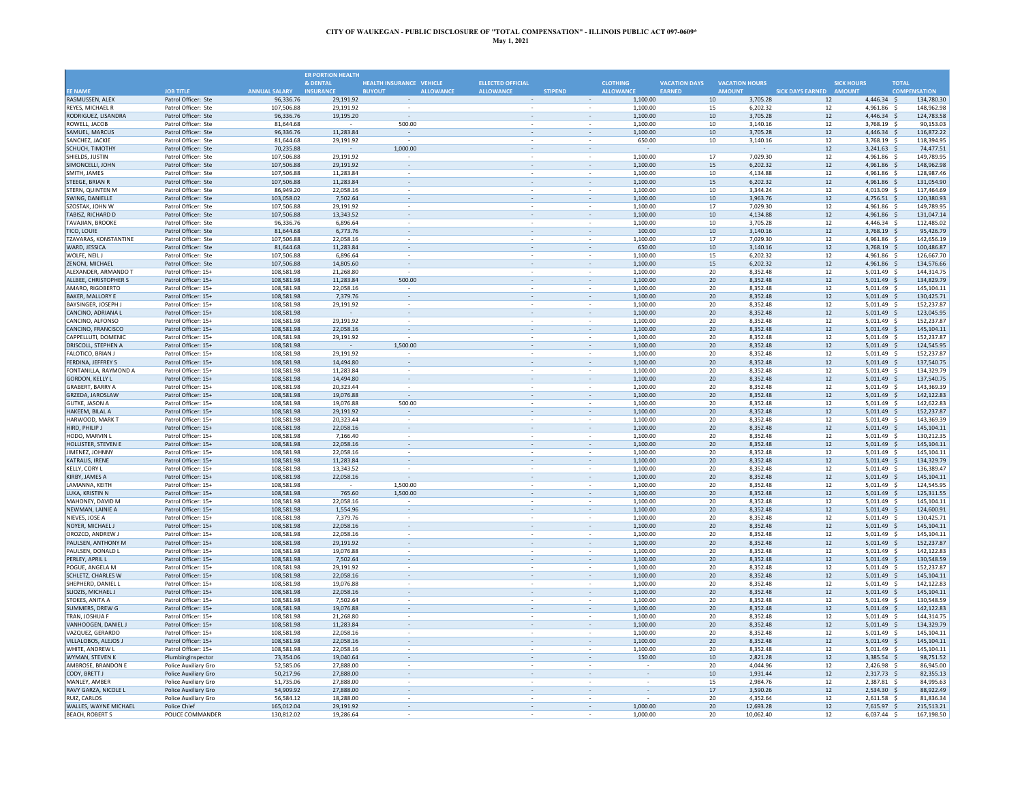|                                                   |                                              |                          | <b>ER PORTION HEALTH</b> |                                   |                                                      |                |                          |                      |                      |                                  |                         |                                         |              |                          |
|---------------------------------------------------|----------------------------------------------|--------------------------|--------------------------|-----------------------------------|------------------------------------------------------|----------------|--------------------------|----------------------|----------------------|----------------------------------|-------------------------|-----------------------------------------|--------------|--------------------------|
|                                                   |                                              |                          | & DENTAL                 | <b>HEALTH INSURANCE VEHICLE</b>   | <b>ELLECTED OFFICIAL</b>                             |                |                          | <b>CLOTHING</b>      | <b>VACATION DAYS</b> | <b>VACATION HOURS</b>            |                         | <b>SICK HOURS</b>                       | <b>TOTAL</b> |                          |
| <b>FF NAME</b>                                    | <b>JOB TITLE</b>                             | <b>ANNUAL SALARY</b>     | <b>INSURANCE</b>         | <b>ALLOWANCE</b><br><b>BUYOUT</b> | <b>ALLOWANCE</b>                                     | <b>STIPEND</b> |                          | <b>ALLOWANCE</b>     | EARNED               | <b>AMOUNT</b>                    | SICK DAYS EARNED AMOUNT |                                         |              | <b>COMPENSATION</b>      |
| RASMUSSEN, ALEX                                   | Patrol Officer: Ste                          | 96,336.76                | 29,191.92                |                                   | $\sim$                                               |                | $\sim$                   | 1,100.00             |                      | 10<br>3,705.28                   | 12                      | $4,446.34$ \$                           |              | 134,780.30               |
| REYES, MICHAEL R<br>RODRIGUEZ, LISANDRA           | Patrol Officer: Ste<br>Patrol Officer: Ste   | 107,506.88<br>96,336.76  | 29.191.92<br>19,195.20   | $\sim$                            | $\sim$                                               |                |                          | 1,100.00<br>1,100.00 |                      | 15<br>6.202.32<br>10<br>3,705.28 | 12<br>12                | 4,961.86<br>$4.446.34$ \$               |              | 148,962.98<br>124,783.58 |
| ROWELL, JACOB                                     | Patrol Officer: Ste                          | 81,644.68                |                          | 500.00                            |                                                      |                |                          | 1.100.00             |                      | 10<br>3.140.16                   |                         | 12<br>3,768.19 \$                       |              | 90,153.03                |
| SAMUEL, MARCUS                                    | Patrol Officer: Ste                          | 96,336.76                | 11,283.84                |                                   |                                                      |                |                          | 1,100.00             |                      | $10\,$<br>3,705.28               |                         | $12\,$<br>4.446.34 \$                   |              | 116,872.22               |
| SANCHEZ, JACKIE                                   | Patrol Officer: Ste                          | 81,644.68                | 29,191.92                |                                   |                                                      |                |                          | 650.00               |                      | 10<br>3,140.16                   |                         | $12\,$<br>3,768.19 \$                   |              | 118,394.95               |
| SCHUCH, TIMOTHY                                   | Patrol Officer: Ste                          | 70.235.88                |                          | 1,000.00                          |                                                      |                |                          |                      |                      |                                  | 12                      | $3,241.63$ \$                           |              | 74,477.51                |
| SHIELDS, JUSTIN                                   | Patrol Officer: Ste                          | 107,506.88               | 29,191.92                |                                   |                                                      |                | $\sim$                   | 1,100.00             |                      | 17<br>7,029.30                   | 12                      | 4,961.86 \$                             |              | 149,789.95               |
| SIMONCELLI, JOHN                                  | Patrol Officer: Ste                          | 107,506.88               | 29,191.92                |                                   |                                                      |                |                          | 1,100.00             |                      | 15<br>6,202.32                   |                         | 12<br>4,961.86 \$                       |              | 148,962.98               |
| SMITH, JAMES                                      | Patrol Officer: Ste                          | 107,506.88               | 11.283.84                | $\sim$                            | $\hat{\phantom{a}}$                                  |                | $\overline{\phantom{a}}$ | 1,100.00             |                      | 10<br>4,134.88                   |                         | 12<br>4,961.86 \$                       |              | 128,987.46               |
| STEEGE, BRIAN R                                   | Patrol Officer: Ste                          | 107,506.88               | 11,283.84                | $\overline{\phantom{a}}$          | $\overline{\phantom{a}}$                             |                | $\overline{\phantom{a}}$ | 1,100.00             |                      | 15<br>6,202.32                   |                         | 12<br>4,961.86 \$                       |              | 131,054.90               |
| STERN, QUINTEN M                                  | Patrol Officer: Ste                          | 86,949.20<br>103.058.02  | 22,058.16                | $\sim$                            | $\overline{\phantom{a}}$                             |                | $\sim$                   | 1,100.00<br>1.100.00 |                      | 10<br>3,344.24<br>10             | 12                      | 4,013.09 \$                             |              | 117,464.69               |
| SWING, DANIELLE<br>SZOSTAK, JOHN W                | Patrol Officer: Ste<br>Patrol Officer: Ste   | 107,506.88               | 7,502.64<br>29,191.92    |                                   | $\sim$                                               |                | $\overline{\phantom{a}}$ | 1,100.00             |                      | 3,963.76<br>17<br>7,029.30       | $12\,$                  | 4,756.51 \$<br>12<br>4,961.86 \$        |              | 120,380.93<br>149,789.95 |
| TABISZ, RICHARD D                                 | Patrol Officer: Ste                          | 107,506.88               | 13.343.52                |                                   |                                                      |                |                          | 1,100.00             |                      | 10<br>4.134.88                   |                         | 12<br>4,961.86 \$                       |              | 131,047.14               |
| <b>TAVAJIAN, BROOKE</b>                           | Patrol Officer: Ste                          | 96,336.76                | 6.896.64                 |                                   |                                                      |                |                          | 1,100.00             |                      | 10<br>3,705.28                   | 12                      | 4.446.34                                | - S          | 112,485.02               |
| <b>TICO, LOUIE</b>                                | Patrol Officer: Ste                          | 81,644.68                | 6,773.76                 |                                   |                                                      |                |                          | 100.00               |                      | 10<br>3,140.16                   | 12                      | 3,768.19 \$                             |              | 95,426.79                |
| TZAVARAS, KONSTANTINE                             | Patrol Officer: Ste                          | 107,506.88               | 22.058.16                |                                   |                                                      |                |                          | 1,100.00             |                      | 7,029.30<br>17                   | 12                      | 4.961.86                                | - 9          | 142,656.19               |
| WARD, JESSICA                                     | Patrol Officer: Ste                          | 81,644.68                | 11,283.84                | $\sim$                            | $\sim$                                               |                | $\overline{\phantom{a}}$ | 650.00               |                      | $10\,$<br>3,140.16               |                         | $12\,$<br>3,768.19 \$                   |              | 100,486.87               |
| WOLFE, NEIL J                                     | Patrol Officer: Ste                          | 107,506.88               | 6.896.64                 |                                   |                                                      |                |                          | 1,100.00             |                      | 15<br>6.202.32                   | 12                      | 4,961.86 \$                             |              | 126,667.70               |
| ZENONI, MICHAEL                                   | Patrol Officer: Ste                          | 107,506.88               | 14,805.60                | $\overline{\phantom{a}}$          | $\overline{\phantom{a}}$                             |                |                          | 1,100.00             |                      | 15<br>6,202.32                   |                         | 12<br>4,961.86 \$                       |              | 134,576.66               |
| ALEXANDER, ARMANDO T                              | Patrol Officer: 15+                          | 108.581.98               | 21,268.80                |                                   |                                                      |                |                          | 1,100.00             |                      | 20<br>8.352.48                   | 12                      | 5,011.49                                | - 5          | 144,314.75               |
| ALLBEE, CHRISTOPHER S                             | Patrol Officer: 15+                          | 108.581.98               | 11,283.84                | 500.00                            |                                                      |                |                          | 1.100.00             |                      | 20<br>8,352.48                   | 12                      | $5.011.49$ \$                           |              | 134,829.79               |
| AMARO, RIGOBERTO                                  | Patrol Officer: 15+                          | 108,581.98               | 22,058.16                |                                   |                                                      |                |                          | 1,100.00             |                      | 20<br>8,352.48                   | 12                      | 5,011.49 \$                             |              | 145,104.11               |
| <b>BAKER, MALLORY E</b><br>BAYSINGER, JOSEPH.     | Patrol Officer: 15+<br>Patrol Officer: 15+   | 108,581.98<br>108.581.98 | 7,379.76<br>29,191.92    |                                   |                                                      |                |                          | 1,100.00<br>1,100.00 |                      | 20<br>8,352.48<br>20<br>8.352.48 | 12                      | $12\,$<br>$5,011.49$ \$<br>5.011.49     |              | 130,425.7<br>152,237.87  |
| CANCINO, ADRIANA I                                | Patrol Officer: 15+                          | 108,581.98               |                          |                                   |                                                      |                |                          | 1,100.00             |                      | 20<br>8,352.48                   | 12                      | 5,011.49 \$                             |              | 123,045.95               |
| CANCINO, ALFONSO                                  | Patrol Officer: 15+                          | 108,581.98               | 29,191.92                | $\bar{\phantom{a}}$               | $\hat{\phantom{a}}$                                  |                | $\overline{\phantom{a}}$ | 1,100.00             |                      | 20<br>8,352.48                   |                         | 12<br>5,011.49 \$                       |              | 152,237.87               |
| CANCINO, FRANCISCO                                | Patrol Officer: 15+                          | 108,581.98               | 22,058.16                | $\overline{\phantom{a}}$          | $\overline{\phantom{a}}$                             |                | $\overline{\phantom{a}}$ | 1,100.00             |                      | 20<br>8,352.48                   |                         | 12<br>$5,011.49$ \$                     |              | 145,104.11               |
| CAPPELLUTI, DOMENIC                               | Patrol Officer: 15+                          | 108,581.98               | 29,191.92                |                                   | $\sim$                                               |                | $\overline{\phantom{a}}$ | 1,100.00             |                      | 20<br>8,352.48                   | 12                      | $5,011.49$ \$                           |              | 152,237.87               |
| DRISCOLL, STEPHEN A                               | Patrol Officer: 15+                          | 108.581.98               |                          | 1,500.00                          | $\sim$                                               |                | $\overline{\phantom{a}}$ | 1.100.00             |                      | 20<br>8.352.48                   |                         | 12<br>$5.011.49$ \$                     |              | 124,545.95               |
| FALOTICO, BRIAN J                                 | Patrol Officer: 15+                          | 108,581.98               | 29,191.92                |                                   |                                                      |                |                          | 1,100.00             |                      | 20<br>8,352.48                   |                         | 12<br>5,011.49 \$                       |              | 152,237.87               |
| FERDINA, JEFFREY S                                | Patrol Officer: 15+                          | 108,581.98               | 14,494.80                |                                   |                                                      |                |                          | 1,100.00             |                      | 20<br>8,352.48                   |                         | 12<br>$5,011.49$ \$                     |              | 137,540.75               |
| FONTANILLA, RAYMOND A                             | Patrol Officer: 15+                          | 108,581.98               | 11.283.84                |                                   |                                                      |                |                          | 1,100.00             |                      | 20<br>8.352.48                   | 12                      | 5,011.49                                | - \$         | 134,329.79               |
| <b>GORDON, KELLY L</b><br><b>GRABERT, BARRY A</b> | Patrol Officer: 15+                          | 108,581.98<br>108.581.98 | 14,494.80<br>20.323.44   |                                   |                                                      |                |                          | 1.100.00<br>1.100.00 |                      | 20<br>8.352.48<br>20<br>8.352.48 | 12                      | 12<br>$5,011.49$ \$<br>$5.011.49$ \$    |              | 137.540.75<br>143,369.39 |
| GRZEDA, JAROSLAW                                  | Patrol Officer: 15+<br>Patrol Officer: 15+   | 108,581.98               | 19,076.88                | $\sim$                            |                                                      |                |                          | 1,100.00             |                      | 20<br>8,352.48                   |                         | $12\,$<br>5,011.49 \$                   |              | 142,122.83               |
| <b>GUTKE, JASON A</b>                             | Patrol Officer: 15+                          | 108.581.98               | 19.076.88                | 500.00                            | ×.                                                   |                |                          | 1.100.00             |                      | 20<br>8.352.48                   | 12                      | $5.011.49$ \$                           |              | 142,622.8                |
| HAKEEM, BILAL A                                   | Patrol Officer: 15+                          | 108,581.98               | 29,191.92                | $\sim$                            | $\overline{\phantom{a}}$                             |                | $\overline{\phantom{a}}$ | 1,100.00             |                      | 20<br>8,352.48                   |                         | 12<br>$5,011.49$ \$                     |              | 152,237.87               |
| HARWOOD, MARK T                                   | Patrol Officer: 15+                          | 108.581.98               | 20.323.44                | $\sim$                            |                                                      |                |                          | 1.100.00             |                      | 20<br>8.352.48                   | 12                      | 5.011.49 \$                             |              | 143,369.39               |
| HIRD, PHILIP J                                    | Patrol Officer: 15+                          | 108,581.98               | 22,058.16                |                                   |                                                      |                |                          | 1,100.00             |                      | 20<br>8,352.48                   | 12                      | $5,011.49$ \$                           |              | 145,104.11               |
| HODO, MARVIN L                                    | Patrol Officer: 15+                          | 108,581.98               | 7,166.40                 |                                   |                                                      |                |                          | 1,100.00             |                      | 20<br>8,352.48                   | 12                      | 5,011.49                                |              | 130,212.35               |
| HOLLISTER, STEVEN E                               | Patrol Officer: 15+                          | 108,581.98               | 22,058.16                |                                   |                                                      |                |                          | 1,100.00             |                      | 20<br>8,352.48                   |                         | $12\,$<br>5,011.49 \$                   |              | 145,104.13               |
| JIMENEZ, JOHNNY                                   | Patrol Officer: 15+                          | 108,581.98               | 22.058.16                |                                   |                                                      |                |                          | 1,100.00             |                      | 20<br>8.352.48                   | 12                      | 5.011.49                                |              | 145,104.11               |
| <b>KATRALIS, IRENE</b>                            | Patrol Officer: 15+                          | 108,581.98               | 11,283.84                |                                   |                                                      |                |                          | 1,100.00             |                      | 20<br>8,352.48                   | 12                      | 5,011.49 \$                             |              | 134,329.79               |
| KELLY, CORY L                                     | Patrol Officer: 15+                          | 108,581.98               | 13,343.52                | $\sim$                            | ×.                                                   |                | ä,                       | 1,100.00             |                      | 20<br>8,352.48<br>20             |                         | 12<br>5,011.49 \$                       |              | 136,389.47               |
| KIRBY, JAMES A<br>LAMANNA, KEITH                  | Patrol Officer: 15+<br>Patrol Officer: 15+   | 108,581.98<br>108,581.98 | 22,058.16                | 1,500.00                          | $\overline{\phantom{a}}$<br>$\overline{\phantom{a}}$ |                | $\overline{\phantom{a}}$ | 1,100.00<br>1,100.00 |                      | 8,352.48<br>20<br>8,352.48       | 12                      | $5,011.49$ \$<br>12<br>5,011.49 \$      |              | 145,104.11<br>124,545.95 |
| LUKA, KRISTIN N                                   | Patrol Officer: 15+                          | 108,581.98               | 765.60                   | 1,500.00                          | $\sim$                                               |                |                          | 1,100.00             |                      | 20<br>8,352.48                   | 12                      | $5,011.49$ \$                           |              | 125,311.55               |
| MAHONFY, DAVID M                                  | Patrol Officer: 15+                          | 108.581.98               | 22.058.16                |                                   |                                                      |                |                          | 1.100.00             |                      | 20<br>8.352.48                   | 12                      | $5.011.49$ \$                           |              | 145.104.11               |
| NEWMAN, LAINIE A                                  | Patrol Officer: 15+                          | 108,581.98               | 1,554.96                 |                                   |                                                      |                |                          | 1,100.00             |                      | 20<br>8,352.48                   |                         | $12\,$<br>5,011.49 \$                   |              | 124,600.91               |
| NIEVES, JOSE A                                    | Patrol Officer: 15+                          | 108,581.98               | 7,379.76                 |                                   |                                                      |                |                          | 1,100.00             |                      | 20<br>8,352.48                   |                         | 12<br>5,011.49                          |              | 130,425.71               |
| NOYER, MICHAEL J                                  | Patrol Officer: 15+                          | 108,581.98               | 22,058.16                |                                   |                                                      |                |                          | 1.100.00             |                      | 8.352.48<br>20                   |                         | 12<br>5,011.49                          | - \$         | 145.104.13               |
| OROZCO, ANDREW J                                  | Patrol Officer: 15+                          | 108.581.98               | 22.058.16                |                                   |                                                      |                |                          | 1.100.00             |                      | 20<br>8.352.48                   | 12                      | $5.011.49$ \$                           |              | 145.104.1                |
| PAULSEN, ANTHONY M                                | Patrol Officer: 15+                          | 108,581.98               | 29,191.92                | $\omega$                          |                                                      |                | $\overline{\phantom{a}}$ | 1,100.00             |                      | 20<br>8,352.48                   |                         | $12\,$<br>$5,011.49$ \$                 |              | 152,237.87               |
| PAULSEN, DONALD L                                 | Patrol Officer: 15+                          | 108,581.98               | 19,076.88                | $\sim$                            | ×.                                                   |                |                          | 1,100.00             |                      | 20<br>8,352.48                   | 12                      | $5,011.49$ \$                           |              | 142,122.8                |
| PERLEY, APRIL L<br>POGUE, ANGELA M                | Patrol Officer: 15+<br>Patrol Officer: 15+   | 108,581.98<br>108.581.98 | 7,502.64<br>29,191.92    | $\sim$                            | $\overline{\phantom{a}}$                             |                | $\overline{\phantom{a}}$ | 1,100.00<br>1.100.00 |                      | 20<br>8,352.48<br>20<br>8.352.48 | 12<br>12                | $5,011.49$ \$<br>5.011.49 \$            |              | 130,548.59<br>152,237.87 |
| <b>SCHLETZ, CHARLES W</b>                         | Patrol Officer: 15+                          | 108,581.98               | 22,058.16                |                                   |                                                      |                |                          | 1,100.00             |                      | 20<br>8,352.48                   | 12                      | $5,011.49$ \$                           |              | 145,104.11               |
| SHEPHERD, DANIEL L                                | Patrol Officer: 15+                          | 108.581.98               | 19.076.88                |                                   |                                                      |                |                          | 1,100.00             |                      | 20<br>8.352.48                   | 12                      | 5,011.49 \$                             |              | 142.122.83               |
| SLIOZIS, MICHAEL J                                | Patrol Officer: 15+                          | 108,581.98               | 22,058.16                |                                   |                                                      |                |                          | 1,100.00             |                      | 20<br>8,352.48                   |                         | 12<br>$5,011.49$ \$                     |              | 145,104.1                |
| STOKES, ANITA A                                   | Patrol Officer: 15+                          | 108,581.98               | 7,502.64                 |                                   |                                                      |                |                          | 1,100.00             |                      | 20<br>8,352.48                   | 12                      | 5,011.49 \$                             |              | 130,548.59               |
| <b>SUMMERS, DREW G</b>                            | Patrol Officer: 15+                          | 108,581.98               | 19,076.88                |                                   |                                                      |                |                          | 1,100.00             |                      | 20<br>8,352.48                   | 12                      | $5,011.49$ \$                           |              | 142,122.83               |
| TRAN, JOSHUA F                                    | Patrol Officer: 15+                          | 108,581.98               | 21,268.80                | $\omega$                          |                                                      |                | ä,                       | 1,100.00             |                      | 20<br>8,352.48                   |                         | 12<br>$5,011.49$ \$                     |              | 144,314.75               |
| VANHOOGEN, DANIEL J                               | Patrol Officer: 15+                          | 108,581.98               | 11.283.84                | $\omega$                          | $\overline{\phantom{a}}$                             |                | $\overline{\phantom{a}}$ | 1,100.00             |                      | 20<br>8,352.48                   | 12                      | 5,011.49 \$                             |              | 134,329.79               |
| VAZQUEZ, GERARDO                                  | Patrol Officer: 15+                          | 108,581.98               | 22,058.16                | $\overline{\phantom{a}}$          | $\cdot$                                              |                | $\overline{\phantom{a}}$ | 1,100.00             |                      | 20<br>8,352.48                   |                         | 12<br>5,011.49 \$                       |              | 145,104.11               |
| VILLALOBOS, ALEJOS                                | Patrol Officer: 15+                          | 108,581.98               | 22,058.16                |                                   | $\sim$                                               |                | $\overline{\phantom{a}}$ | 1,100.00             |                      | 20<br>8,352.48                   | 12                      | $5,011.49$ \$                           |              | 145,104.11               |
| WHITE, ANDREW L                                   | Patrol Officer: 15+                          | 108.581.98               | 22.058.16                |                                   |                                                      |                |                          | 1.100.00             |                      | 20<br>8.352.48                   | 12                      | $5.011.49$ \$                           |              | 145.104.11               |
| WYMAN, STEVEN K<br>AMBROSE, BRANDON E             | PlumbingInspector                            | 73,354.06<br>52,585.06   | 19,040.64<br>27,888.00   |                                   | $\sim$                                               |                |                          | 150.00               |                      | 10<br>2,821.28<br>20<br>4,044.96 |                         | $12\,$<br>3,385.54 \$<br>12<br>2,426.98 |              | 98,751.52<br>86,945.00   |
| CODY, BRETT J                                     | Police Auxiliary Gro<br>Police Auxiliary Gro | 50,217.96                | 27,888.00                |                                   |                                                      |                |                          |                      |                      | 10<br>1,931.44                   |                         | 12<br>2,317.73                          | - S          | 82,355.13                |
| MANLEY, AMBER                                     | Police Auxiliary Gro                         | 51,735.06                | 27,888.00                |                                   |                                                      |                |                          |                      |                      | 15<br>2.984.76                   | 12                      | 2.387.81                                | -S           | 84,995.63                |
| RAVY GARZA, NICOLE L                              | Police Auxiliary Gro                         | 54,909.92                | 27,888.00                | $\omega$                          | $\sim$                                               |                |                          | $\sim$               |                      | 3,590.26<br>17                   | 12                      | 2.534.30 \$                             |              | 88,922.49                |
| RUIZ, CARLOS                                      | Police Auxiliary Gro                         | 56,584.12                | 18,288.00                |                                   |                                                      |                |                          |                      |                      | 20<br>4,352.64                   | 12                      | 2,611.58                                | - \$         | 81,836.34                |
| WALLES, WAYNE MICHAEL                             | Police Chief                                 | 165,012.04               | 29,191.92                |                                   |                                                      |                |                          | 1,000.00             |                      | 12,693.28<br>20                  |                         | $12\,$<br>7,615.97 \$                   |              | 215,513.21               |
| <b>BEACH, ROBERT S</b>                            | POLICE COMMANDER                             | 130.812.02               | 19,286.64                |                                   |                                                      |                |                          | 1.000.00             |                      | 10.062.40<br>20                  |                         | 12<br>6.037.44                          | - \$         | 167.198.50               |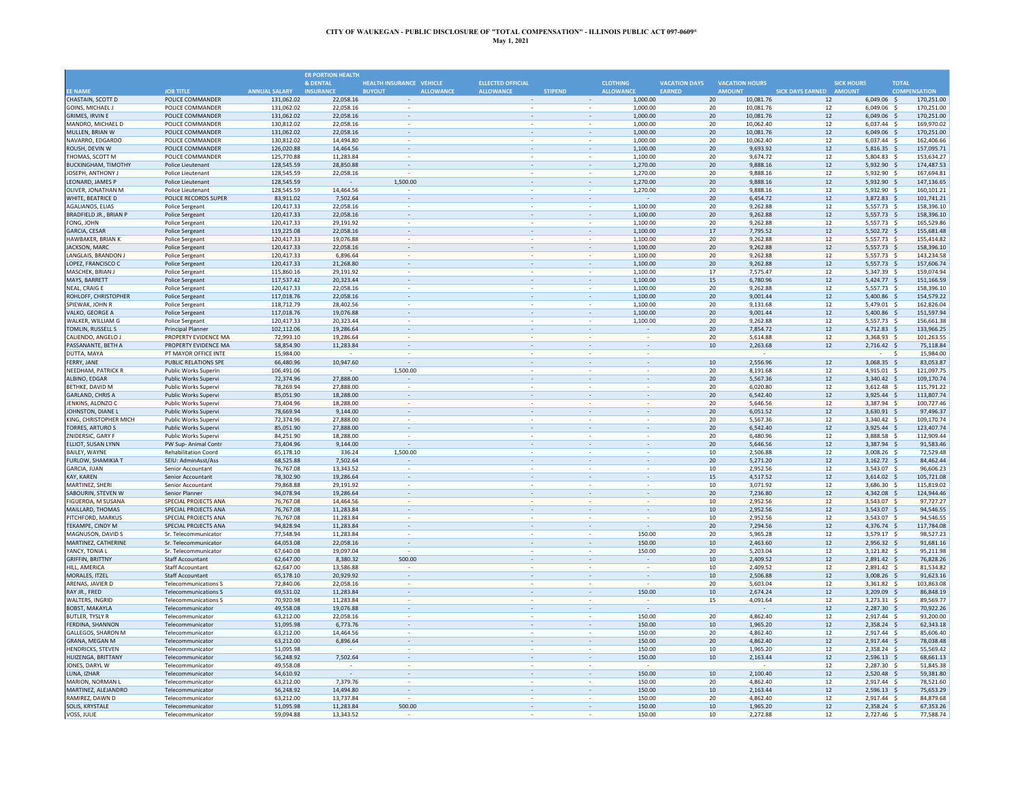|                                                   |                                                            |                          | <b>ER PORTION HEALTH</b> |                                   |                                                      |                |                          |                      |                      |                                  |                         |                              |                     |                          |
|---------------------------------------------------|------------------------------------------------------------|--------------------------|--------------------------|-----------------------------------|------------------------------------------------------|----------------|--------------------------|----------------------|----------------------|----------------------------------|-------------------------|------------------------------|---------------------|--------------------------|
|                                                   |                                                            |                          | & DENTAL                 | <b>HEALTH INSURANCE VEHICLE</b>   | <b>ELLECTED OFFICIAL</b>                             |                | <b>CLOTHING</b>          |                      | <b>VACATION DAYS</b> | <b>VACATION HOURS</b>            |                         | <b>SICK HOURS</b>            | <b>TOTAL</b>        |                          |
| <b>FF NAME</b>                                    | <b>JOB TITLE</b>                                           | <b>ANNUAL SALARY</b>     | <b>INSURANCE</b>         | <b>ALLOWANCE</b><br><b>BUYOUT</b> | <b>ALLOWANCE</b>                                     | <b>STIPEND</b> |                          | <b>ALLOWANCE</b>     | <b>EARNED</b>        | <b>AMOUNT</b>                    | SICK DAYS EARNED AMOUNT |                              | <b>COMPENSATION</b> |                          |
| CHASTAIN, SCOTT D                                 | POLICE COMMANDER                                           | 131,062.02               | 22,058.16                |                                   |                                                      |                | $\sim$                   | 1,000.00             |                      | 20<br>10,081.76                  | 12                      | $6,049.06$ \$                |                     | 170,251.00               |
| <b>GOINS, MICHAEL J</b><br><b>GRIMES, IRVIN E</b> | POLICE COMMANDER<br>POLICE COMMANDER                       | 131,062.02               | 22,058.16<br>22.058.16   |                                   |                                                      |                |                          | 1,000.00<br>1.000.00 |                      | 10,081.76<br>20<br>20            | 12<br>12                | 6,049.06 \$<br>$6.049.06$ \$ |                     | 170,251.00               |
| MANDRO, MICHAEL D                                 | POLICE COMMANDER                                           | 131,062.02<br>130,812.02 | 22,058.16                | $\sim$                            | $\overline{\phantom{a}}$                             |                |                          | 1,000.00             |                      | 10,081.76<br>20<br>10.062.40     | 12                      | $6,037.44$ \$                |                     | 170,251.00<br>169,970.02 |
| MULLEN, BRIAN W                                   | POLICE COMMANDER                                           | 131,062.02               | 22,058.16                |                                   |                                                      |                |                          | 1,000.00             |                      | 20<br>10,081.76                  | 12                      | $6,049.06$ \$                |                     | 170.251.00               |
| NAVARRO, EDGARDO                                  | POLICE COMMANDER                                           | 130,812.02               | 14,494.80                |                                   |                                                      |                |                          | 1,000.00             |                      | 20<br>10,062.40                  | 12                      | 6,037.44 \$                  |                     | 162,406.66               |
| ROUSH, DEVIN W                                    | POLICE COMMANDER                                           | 126,020.88               | 14,464.56                |                                   |                                                      |                |                          | 1,100.00             |                      | 20<br>9,693.92                   | 12                      | $5,816.35$ \$                |                     | 157,095.71               |
| THOMAS, SCOTT M                                   | POLICE COMMANDER                                           | 125,770.88               | 11.283.84                | ÷.                                |                                                      |                | $\omega$                 | 1,100.00             |                      | 20<br>9.674.72                   | 12                      | $5,804.83$ \$                |                     | 153.634.27               |
| <b>BUCKINGHAM, TIMOTHY</b>                        | Police Lieutenant                                          | 128,545.59               | 28,850.88                | $\sim$                            |                                                      |                |                          | 1,270.00             |                      | 20<br>9,888.16                   | 12                      | 5,932.90 \$                  |                     | 174,487.53               |
| JOSEPH, ANTHONY J                                 | Police Lieutenant                                          | 128,545.59               | 22,058.16                |                                   | $\hat{\phantom{a}}$                                  |                | $\overline{\phantom{a}}$ | 1,270.00             |                      | 20<br>9,888.16                   | 12                      | 5,932.90 \$                  |                     | 167,694.81               |
| LEONARD, JAMES P                                  | Police Lieutenant                                          | 128,545.59               |                          | 1,500.00                          | $\overline{\phantom{a}}$                             |                | $\overline{\phantom{a}}$ | 1,270.00             |                      | 20<br>9,888.16                   | 12                      | 5,932.90 \$                  |                     | 147,136.65               |
| OLIVER, JONATHAN M                                | <b>Police Lieutenant</b>                                   | 128,545.59               | 14.464.56                |                                   | $\sim$                                               |                | $\overline{\phantom{a}}$ | 1,270.00             |                      | 20<br>9.888.16                   | 12                      | 5,932.90 \$                  |                     | 160.101.23               |
| WHITE, BEATRICE D                                 | POLICE RECORDS SUPER                                       | 83.911.02                | 7,502.64                 |                                   |                                                      |                | $\overline{\phantom{a}}$ |                      |                      | 20<br>6.454.72                   | 12                      | 3.872.83 \$                  |                     | 101,741.21               |
| AGALIANOS, ELIAS                                  | <b>Police Sergeant</b>                                     | 120,417.33               | 22,058.16                |                                   |                                                      |                |                          | 1,100.00             |                      | 20<br>9,262.88                   | 12                      | 5,557.73 \$                  |                     | 158,396.10               |
| BRADFIELD JR., BRIAN P                            | <b>Police Sergeant</b>                                     | 120,417.33               | 22,058.16                |                                   |                                                      |                |                          | 1,100.00             |                      | 20<br>9,262.88                   | 12                      | 5,557.73 \$                  | - \$                | 158,396.10               |
| FONG, JOHN<br><b>GARCIA, CESAR</b>                | Police Sergeant                                            | 120,417.33<br>119,225.08 | 29,191.92<br>22.058.16   | $\sim$                            |                                                      |                | $\overline{\phantom{a}}$ | 1.100.00<br>1,100.00 |                      | 20<br>9.262.88<br>7,795.52<br>17 | 12<br>12                | 5,557.73<br>5,502.72         | - Ś                 | 165.529.86<br>155.681.48 |
| HAWBAKER, BRIAN K                                 | <b>Police Sergeant</b><br><b>Police Sergeant</b>           | 120,417.33               | 19,076.88                |                                   |                                                      |                |                          | 1,100.00             |                      | 20<br>9,262.88                   | 12                      | 5,557.73 \$                  |                     | 155,414.82               |
| JACKSON, MARC                                     | <b>Police Sergeant</b>                                     | 120,417.33               | 22,058.16                | $\omega$                          | $\overline{\phantom{a}}$                             |                | $\overline{\phantom{a}}$ | 1,100.00             |                      | 20<br>9,262.88                   | 12                      | 5,557.73 \$                  |                     | 158,396.10               |
| LANGLAIS, BRANDON J                               | Police Sergeant                                            | 120,417.33               | 6,896.64                 | $\overline{\phantom{a}}$          |                                                      |                |                          | 1,100.00             |                      | 20<br>9,262.88                   | 12                      | 5,557.73 \$                  |                     | 143,234.58               |
| LOPEZ, FRANCISCO C                                | <b>Police Sergeant</b>                                     | 120,417.33               | 21,268.80                | $\overline{\phantom{a}}$          | $\overline{\phantom{a}}$                             |                | $\overline{\phantom{a}}$ | 1,100.00             |                      | 20<br>9,262.88                   | 12                      | $5,557.73$ \$                |                     | 157,606.74               |
| MASCHEK, BRIAN I                                  | Police Sergeant                                            | 115,860.16               | 29.191.92                |                                   |                                                      |                |                          | 1.100.00             |                      | 17<br>7.575.47                   | 12                      | 5.347.39 \$                  |                     | 159.074.94               |
| MAYS, BARRETT                                     | <b>Police Sergeant</b>                                     | 117,537.42               | 20,323.44                |                                   |                                                      |                |                          | 1,100.00             |                      | 15<br>6,780.96                   | 12                      | $5,424.77$ \$                |                     | 151,166.59               |
| NEAL, CRAIG E                                     | Police Sergeant                                            | 120,417.33               | 22,058.16                |                                   |                                                      |                |                          | 1,100.00             |                      | 20<br>9.262.88                   | 12                      | 5,557.73                     |                     | 158,396.10               |
| ROHLOFF, CHRISTOPHER                              | <b>Police Sergeant</b>                                     | 117,018.76               | 22,058.16                |                                   |                                                      |                |                          | 1,100.00             |                      | 20<br>9,001.44                   | 12                      | $5,400.86$ \$                |                     | 154,579.22               |
| SPIEWAK, JOHN R                                   | <b>Police Sergeant</b>                                     | 118,712.79               | 28,402.56                |                                   |                                                      |                | $\sim$                   | 1.100.00             |                      | 20<br>9.131.68                   | 12                      | 5,479.01 \$                  |                     | 162,826.04               |
| VALKO, GEORGE A                                   | <b>Police Sergeant</b>                                     | 117,018.76               | 19,076.88                | $\sim$                            |                                                      |                |                          | 1,100.00             |                      | 20<br>9.001.44                   | 12                      | 5,400.86 \$                  |                     | 151,597.94               |
| WALKER, WILLIAM G                                 | <b>Police Sergeant</b>                                     | 120,417.33               | 20,323.44                | $\sim$                            | $\sim$                                               |                | $\sim$                   | 1,100.00             |                      | 20<br>9,262.88                   | 12                      | 5,557.73 \$                  |                     | 156,661.38               |
| TOMLIN, RUSSELL S                                 | <b>Principal Planner</b>                                   | 102,112.06               | 19,286.64                | $\overline{\phantom{a}}$          | $\overline{\phantom{a}}$                             |                | $\overline{\phantom{a}}$ |                      |                      | 20<br>7,854.72                   | 12                      | 4,712.83 \$                  |                     | 133,966.25               |
| CALIENDO, ANGELO J                                | PROPERTY EVIDENCE MA                                       | 72.993.10                | 19.286.64                |                                   | $\sim$                                               |                | $\overline{\phantom{a}}$ |                      |                      | 20<br>5.614.88                   | 12                      | 3,368.93 \$                  |                     | 101,263.55               |
| PASSANANTE, BETH A                                | PROPERTY EVIDENCE MA                                       | 58,854.90                | 11,283.84                |                                   |                                                      |                |                          |                      |                      | 10<br>2,263.68                   | 12                      | 2,716.42 \$                  |                     | 75,118.84                |
| DUTTA, MAYA<br>FERRY, JANE                        | PT MAYOR OFFICE INTE                                       | 15,984.00                |                          |                                   |                                                      |                |                          |                      |                      | 2.556.96                         |                         |                              | Ś                   | 15,984.00<br>83.053.87   |
| NEEDHAM, PATRICK R                                | PUBLIC RELATIONS SPE<br><b>Public Works Superin</b>        | 66,480.96<br>106.491.06  | 10,947.60                | 1.500.00                          |                                                      |                |                          |                      |                      | 10<br>20<br>8.191.68             | 12<br>12                | $3,068.35$ \$<br>4.915.01 \$ |                     | 121.097.75               |
| ALBINO, EDGAR                                     | <b>Public Works Supervi</b>                                | 72,374.96                | 27,888.00                |                                   |                                                      |                |                          | $\sim$               |                      | 5,567.36<br>20                   | 12                      | 3.340.42 \$                  |                     | 109,170.74               |
| BETHKE, DAVID M                                   | Public Works Supervi                                       | 78,269.94                | 27,888.00                |                                   |                                                      |                |                          |                      |                      | 20<br>6,020.80                   | 12                      | 3,612.48 \$                  |                     | 115,791.22               |
| <b>GARLAND, CHRIS A</b>                           | <b>Public Works Superv</b>                                 | 85,051.90                | 18,288.00                | $\sim$                            |                                                      |                | $\bar{\phantom{a}}$      | $\sim$               |                      | 20<br>6,542.40                   | 12                      | 3,925.44 \$                  |                     | 113,807.74               |
| JENKINS, ALONZO C                                 | Public Works Supervi                                       | 73,404.96                | 18,288.00                | $\sim$                            |                                                      |                |                          |                      |                      | 20<br>5.646.56                   | 12                      | 3,387.94 \$                  |                     | 100,727.46               |
| JOHNSTON, DIANE L                                 | Public Works Supervi                                       | 78.669.94                | 9.144.00                 | $\sim$                            | $\sim$                                               |                | $\overline{\phantom{a}}$ |                      |                      | 20<br>6,051.52                   | 12                      | 3.630.91 \$                  |                     | 97.496.37                |
| KING. CHRISTOPHER MICH                            | <b>Public Works Superv</b>                                 | 72,374.96                | 27,888.00                |                                   |                                                      |                |                          |                      |                      | 20<br>5.567.36                   | 12                      | 3,340.42 \$                  |                     | 109,170.74               |
| <b>TORRES, ARTURO S</b>                           | Public Works Supervi                                       | 85,051.90                | 27,888.00                |                                   |                                                      |                |                          |                      |                      | 20<br>6,542.40                   | 12                      | 3,925.44 \$                  |                     | 123.407.7                |
| ZNIDERSIC, GARY F                                 | Public Works Supervi                                       | 84,251.90                | 18,288.00                |                                   |                                                      |                |                          |                      |                      | 20<br>6,480.96                   | 12                      | 3,888.58                     |                     | 112,909.44               |
| ELLIOT, SUSAN LYNN                                | PW Sup-Animal Conti                                        | 73,404.96                | 9,144.00                 |                                   |                                                      |                |                          |                      |                      | 5,646.56<br>20                   | 12                      | 3,387.94 \$                  |                     | 91,583.46                |
| <b>BAILFY, WAYNE</b>                              | <b>Rehabilitation Coord</b>                                | 65,178.10                | 336.24                   | 1,500.00                          |                                                      |                | ٠                        |                      |                      | 10<br>2.506.88                   | 12                      | 3.008.26                     | - 5                 | 72,529.48                |
| FURLOW, SHAMIKIA T                                | SEIU: AdminAsst/Ass                                        | 68,525.88                | 7,502.64                 |                                   | $\sim$                                               |                |                          |                      |                      | 20<br>5,271.20                   | 12                      | 3,162.72 \$                  |                     | 84,462.44                |
| <b>GARCIA, JUAN</b>                               | Senior Accountant                                          | 76,767.08                | 13,343.52                | $\bar{z}$                         | $\hat{\phantom{a}}$                                  |                | $\sim$                   | $\sim$               |                      | 10<br>2.952.56                   | 12                      | 3.543.07 \$                  |                     | 96,606.23                |
| KAY, KAREN<br>MARTINEZ, SHERI                     | Senior Accountant<br>Senior Accountant                     | 78,302.90<br>79.868.88   | 19,286.64<br>29.191.92   | $\overline{\phantom{a}}$          | $\overline{\phantom{a}}$<br>$\overline{\phantom{a}}$ |                | $\overline{\phantom{a}}$ |                      |                      | 15<br>4,517.52<br>10<br>3,071.92 | 12<br>12                | 3,614.02 \$<br>3.686.30 \$   |                     | 105,721.08<br>115.819.02 |
| SABOURIN, STEVEN W                                | Senior Planner                                             | 94,078.94                | 19,286.64                |                                   |                                                      |                |                          |                      |                      | 20<br>7,236.80                   | 12                      | 4,342.08 \$                  |                     | 124,944.46               |
| FIGUEROA, M SUSANA                                | SPECIAL PROJECTS ANA                                       | 76,767.08                | 14,464.56                |                                   |                                                      |                |                          |                      |                      | 10<br>2,952.56                   | 12                      | 3,543.07 \$                  |                     | 97,727.27                |
| MAILLARD, THOMAS                                  | SPECIAL PROJECTS ANA                                       | 76,767.08                | 11,283.84                |                                   |                                                      |                |                          |                      |                      | 10<br>2,952.56                   | 12                      | 3,543.07                     | - \$                | 94,546.55                |
| PITCHFORD, MARKUS                                 | SPECIAL PROJECTS ANA                                       | 76.767.08                | 11.283.84                |                                   |                                                      |                |                          |                      |                      | 10<br>2.952.56                   | 12                      | 3,543.07                     | - \$                | 94,546.55                |
| TEKAMPE, CINDY M                                  | SPECIAL PROJECTS ANA                                       | 94,828.94                | 11,283.84                | $\sim$                            |                                                      |                |                          |                      |                      | 20<br>7,294.56                   | 12                      | 4,376.74 \$                  |                     | 117,784.08               |
| MAGNUSON, DAVID S                                 | Sr. Telecommunicator                                       | 77,548.94                | 11.283.84                | $\sim$                            |                                                      |                |                          | 150.00               |                      | 20<br>5,965.28                   | 12                      | 3,579.17 \$                  |                     | 98.527.23                |
| MARTINEZ, CATHERINE                               | Sr. Telecommunicator                                       | 64,053.08                | 22,058.16                | $\sim$                            | $\overline{\phantom{a}}$                             |                | $\overline{\phantom{a}}$ | 150.00               |                      | 10<br>2,463.60                   | 12                      | 2,956.32 \$                  |                     | 91,681.16                |
| YANCY, TONIA I                                    | Sr. Telecommunicator                                       | 67,640.08                | 19.097.04                |                                   |                                                      |                | $\overline{\phantom{a}}$ | 150.00               |                      | 20<br>5,203.04                   | 12                      | $3,121.82$ \$                |                     | 95,211.98                |
| <b>GRIFFIN, BRITTNY</b>                           | <b>Staff Accountant</b>                                    | 62.647.00                | 8.380.32                 | 500.00                            | $\overline{\phantom{a}}$                             |                | $\overline{\phantom{a}}$ |                      |                      | 10<br>2.409.52                   | 12                      | 2.891.42 \$                  |                     | 76,828.26                |
| HILL, AMERICA                                     | <b>Staff Accountant</b>                                    | 62,647.00                | 13,586.88                |                                   |                                                      |                |                          |                      |                      | $10\,$<br>2,409.52               | 12                      | 2,891.42 \$                  |                     | 81,534.82                |
| MORALES, ITZEL                                    | <b>Staff Accountant</b>                                    | 65,178.10                | 20,929.92                |                                   |                                                      |                |                          |                      |                      | $10\,$<br>2,506.88               | 12                      | 3,008.26 \$                  |                     | 91,623.16                |
| ARENAS, JAVIER D<br>RAY JR., FRED                 | <b>Telecommunications S</b><br><b>Telecommunications S</b> | 72,840.06<br>69,531.02   | 22,058.16<br>11,283.84   |                                   |                                                      |                |                          | 150.00               |                      | 20<br>5.603.04<br>10<br>2.674.24 | 12<br>12                | 3.361.82 \$<br>3,209.09 \$   |                     | 103,863.08<br>86,848.19  |
| WALTERS, INGRID                                   | <b>Telecommunications S</b>                                | 70,920.98                | 11,283.84                | $\sim$                            |                                                      |                | ä,                       |                      |                      | 15<br>4,091.64                   | 12                      | 3,273.31 \$                  |                     | 89,569.77                |
| <b>BOBST, MAKAYLA</b>                             | Telecommunicator                                           | 49,558.08                | 19,076.88                | $\bar{\phantom{a}}$               |                                                      |                |                          |                      |                      |                                  | 12                      | 2,287.30 \$                  |                     | 70,922.26                |
| <b>BUTLER, TYSLY R</b>                            | Telecommunicator                                           | 63,212.00                | 22,058.16                | $\sim$                            | $\sim$                                               |                | $\overline{\phantom{a}}$ | 150.00               |                      | 20<br>4,862.40                   | 12                      | 2,917.44 \$                  |                     | 93,200.00                |
| FERDINA, SHANNON                                  | Telecommunicator                                           | 51,095.98                | 6,773.76                 | $\overline{\phantom{a}}$          | $\overline{\phantom{a}}$                             |                | $\overline{\phantom{a}}$ | 150.00               |                      | 10<br>1,965.20                   | 12                      | $2,358.24$ \$                |                     | 62,343.18                |
| <b>GALLEGOS, SHARON M</b>                         | Telecommunicator                                           | 63.212.00                | 14.464.56                |                                   |                                                      |                |                          | 150.00               |                      | 20<br>4.862.40                   | 12                      | 2.917.44 \$                  |                     | 85.606.40                |
| GRANA, MEGAN M                                    | Telecommunicator                                           | 63,212.00                | 6,896.64                 |                                   |                                                      |                |                          | 150.00               |                      | 20<br>4,862.40                   | 12                      | 2,917.44 \$                  |                     | 78,038.48                |
| <b>HENDRICKS, STEVEN</b>                          | Telecommunicator                                           | 51,095.98                |                          |                                   |                                                      |                |                          | 150.00               |                      | 10<br>1.965.20                   | 12                      | 2.358.24                     |                     | 55,569.42                |
| HUIZENGA, BRITTANY                                | Telecommunicator                                           | 56,248.92                | 7,502.64                 |                                   |                                                      |                |                          | 150.00               |                      | 10<br>2,163.44                   | 12                      | 2,596.13                     | - \$                | 68.661.13                |
| JONES, DARYL W                                    | Telecommunicator                                           | 49,558.08                |                          |                                   |                                                      |                |                          |                      |                      |                                  | 12                      | 2.287.30                     | -S                  | 51,845.38                |
| LUNA, IZHAR                                       | Telecommunicator                                           | 54,610.92                |                          | $\sim$                            |                                                      |                | $\overline{\phantom{a}}$ | 150.00               |                      | 10<br>2,100.40                   | 12                      | 2.520.48 \$                  |                     | 59,381.80                |
| MARION, NORMAN L                                  | Telecommunicator                                           | 63,212.00                | 7,379.76                 |                                   |                                                      |                |                          | 150.00               |                      | 20<br>4,862.40                   | 12                      | 2,917.44 \$                  |                     | 78,521.60                |
| MARTINEZ, ALEJANDRO                               | Telecommunicator                                           | 56,248.92                | 14,494.80                | $\cdot$                           | $\overline{\phantom{a}}$                             |                | $\overline{\phantom{a}}$ | 150.00               |                      | 10<br>2,163.44                   | 12                      | $2,596.13$ \$                |                     | 75,653.29                |
| RAMIREZ, DAWN D                                   | Telecommunicator                                           | 63.212.00                | 13.737.84                |                                   |                                                      |                |                          | 150.00               |                      | 20<br>4.862.40                   | 12                      | 2.917.44 \$                  |                     | 84,879.68                |
| <b>SOLIS, KRYSTALE</b><br>VOSS, JULIE             | Telecommunicator                                           | 51,095.98<br>59,094.88   | 11,283.84<br>13,343.52   | 500.00                            |                                                      |                | $\overline{\phantom{a}}$ | 150.00<br>150.00     |                      | 10<br>1,965.20<br>2,272.88<br>10 | 12<br>12                | 2,358.24 \$<br>2,727.46 \$   |                     | 67,353.26<br>77,588.74   |
|                                                   | Telecommunicator                                           |                          |                          |                                   |                                                      |                |                          |                      |                      |                                  |                         |                              |                     |                          |